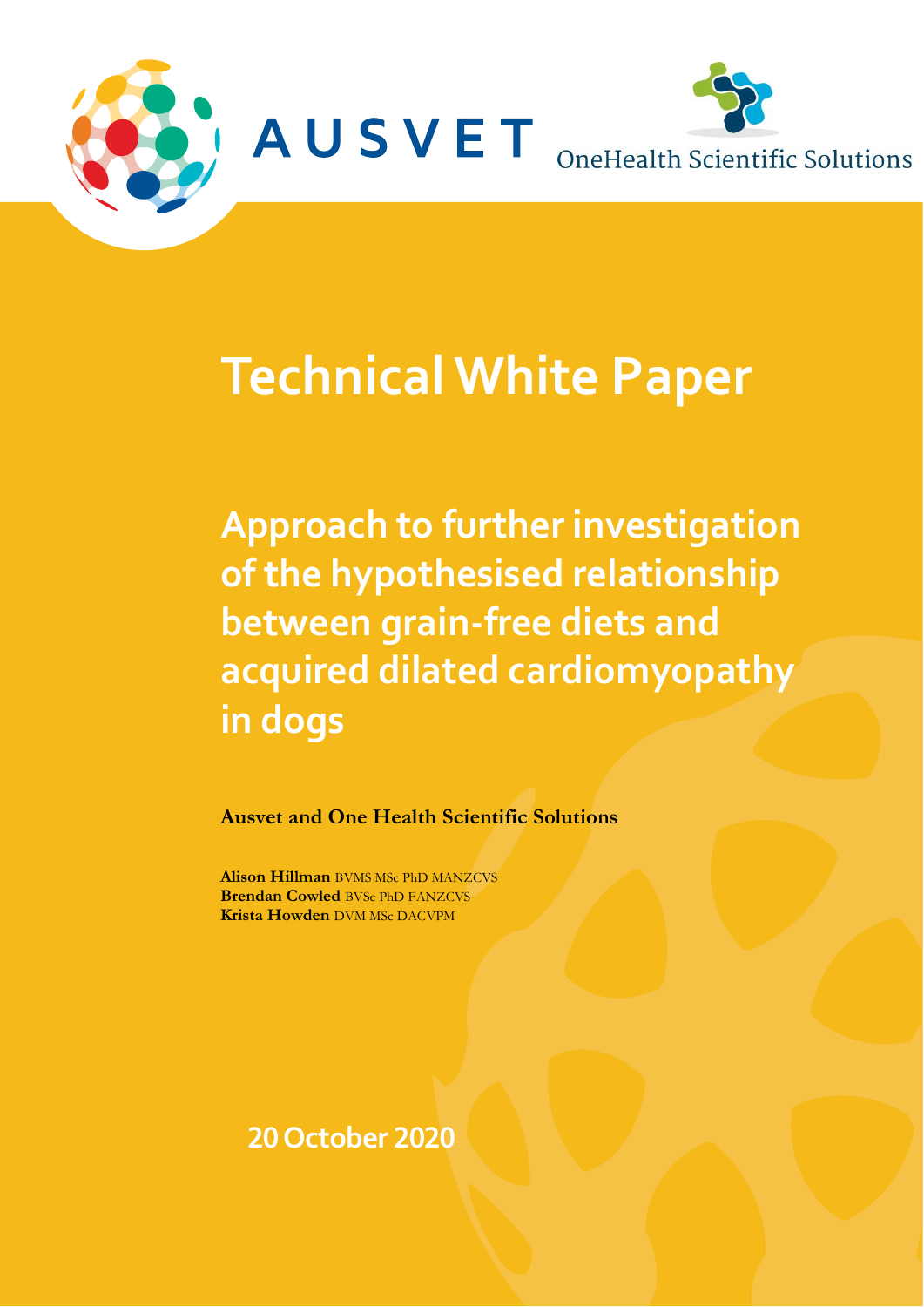

# **Technical White Paper**

**Approach to further investigation of the hypothesised relationship between grain-free diets and acquired dilated cardiomyopathy in dogs**

**Ausvet and One Health Scientific Solutions**

**Alison Hillman** BVMS MSc PhD MANZCVS **Brendan Cowled** BVSc PhD FANZCVS **Krista Howden** DVM MSc DACVPM

**20October 2020**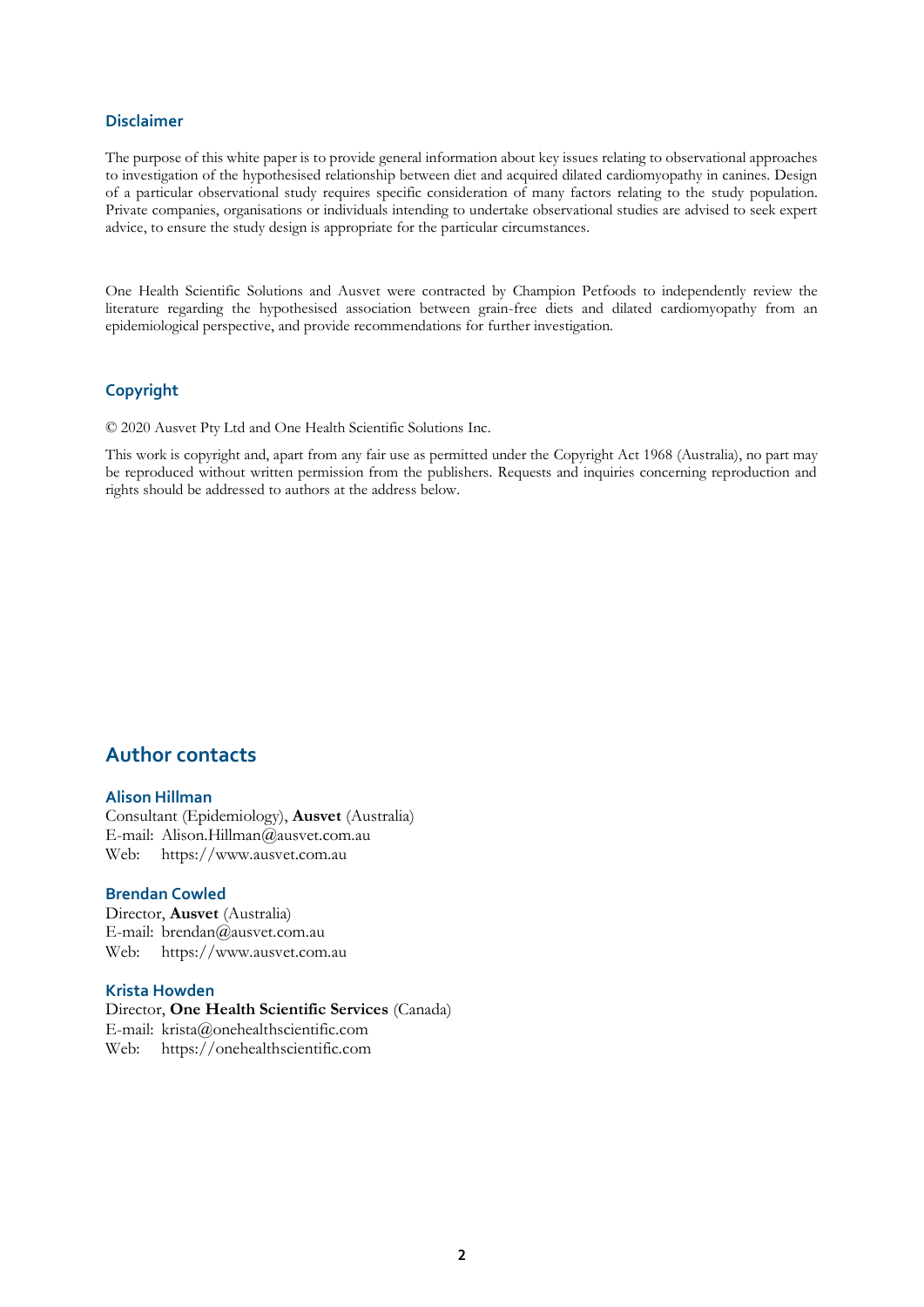#### **Disclaimer**

The purpose of this white paper is to provide general information about key issues relating to observational approaches to investigation of the hypothesised relationship between diet and acquired dilated cardiomyopathy in canines. Design of a particular observational study requires specific consideration of many factors relating to the study population. Private companies, organisations or individuals intending to undertake observational studies are advised to seek expert advice, to ensure the study design is appropriate for the particular circumstances.

One Health Scientific Solutions and Ausvet were contracted by Champion Petfoods to independently review the literature regarding the hypothesised association between grain-free diets and dilated cardiomyopathy from an epidemiological perspective, and provide recommendations for further investigation.

#### **Copyright**

© 2020 Ausvet Pty Ltd and One Health Scientific Solutions Inc.

This work is copyright and, apart from any fair use as permitted under the Copyright Act 1968 (Australia), no part may be reproduced without written permission from the publishers. Requests and inquiries concerning reproduction and rights should be addressed to authors at the address below.

### **Author contacts**

#### **Alison Hillman**

Consultant (Epidemiology), **Ausvet** (Australia) E-mail: Alison.Hillman@ausvet.com.au Web: https://www.ausvet.com.au

#### **Brendan Cowled**

Director, **Ausvet** (Australia) E-mail: brendan@ausvet.com.au Web: https://www.ausvet.com.au

#### **Krista Howden**

Director, **One Health Scientific Services** (Canada) E-mail: krista@onehealthscientific.com Web: https://onehealthscientific.com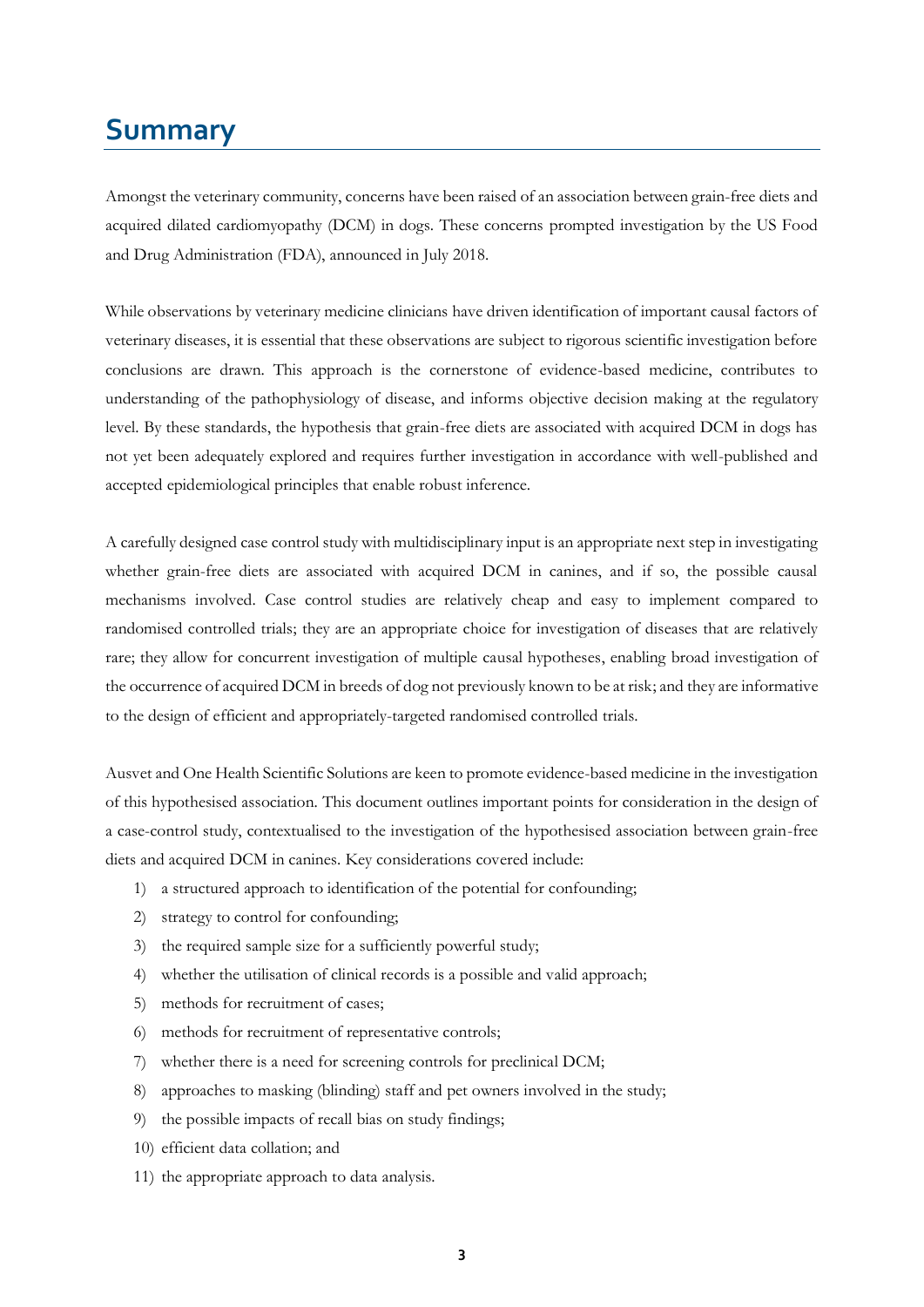# <span id="page-2-0"></span>**Summary**

Amongst the veterinary community, concerns have been raised of an association between grain-free diets and acquired dilated cardiomyopathy (DCM) in dogs. These concerns prompted investigation by the US Food and Drug Administration (FDA), announced in July 2018.

While observations by veterinary medicine clinicians have driven identification of important causal factors of veterinary diseases, it is essential that these observations are subject to rigorous scientific investigation before conclusions are drawn. This approach is the cornerstone of evidence-based medicine, contributes to understanding of the pathophysiology of disease, and informs objective decision making at the regulatory level. By these standards, the hypothesis that grain-free diets are associated with acquired DCM in dogs has not yet been adequately explored and requires further investigation in accordance with well-published and accepted epidemiological principles that enable robust inference.

A carefully designed case control study with multidisciplinary input is an appropriate next step in investigating whether grain-free diets are associated with acquired DCM in canines, and if so, the possible causal mechanisms involved. Case control studies are relatively cheap and easy to implement compared to randomised controlled trials; they are an appropriate choice for investigation of diseases that are relatively rare; they allow for concurrent investigation of multiple causal hypotheses, enabling broad investigation of the occurrence of acquired DCM in breeds of dog not previously known to be at risk; and they are informative to the design of efficient and appropriately-targeted randomised controlled trials.

Ausvet and One Health Scientific Solutions are keen to promote evidence-based medicine in the investigation of this hypothesised association. This document outlines important points for consideration in the design of a case-control study, contextualised to the investigation of the hypothesised association between grain-free diets and acquired DCM in canines. Key considerations covered include:

- 1) a structured approach to identification of the potential for confounding;
- 2) strategy to control for confounding;
- 3) the required sample size for a sufficiently powerful study;
- 4) whether the utilisation of clinical records is a possible and valid approach;
- 5) methods for recruitment of cases;
- 6) methods for recruitment of representative controls;
- 7) whether there is a need for screening controls for preclinical DCM;
- 8) approaches to masking (blinding) staff and pet owners involved in the study;
- 9) the possible impacts of recall bias on study findings;
- 10) efficient data collation; and
- 11) the appropriate approach to data analysis.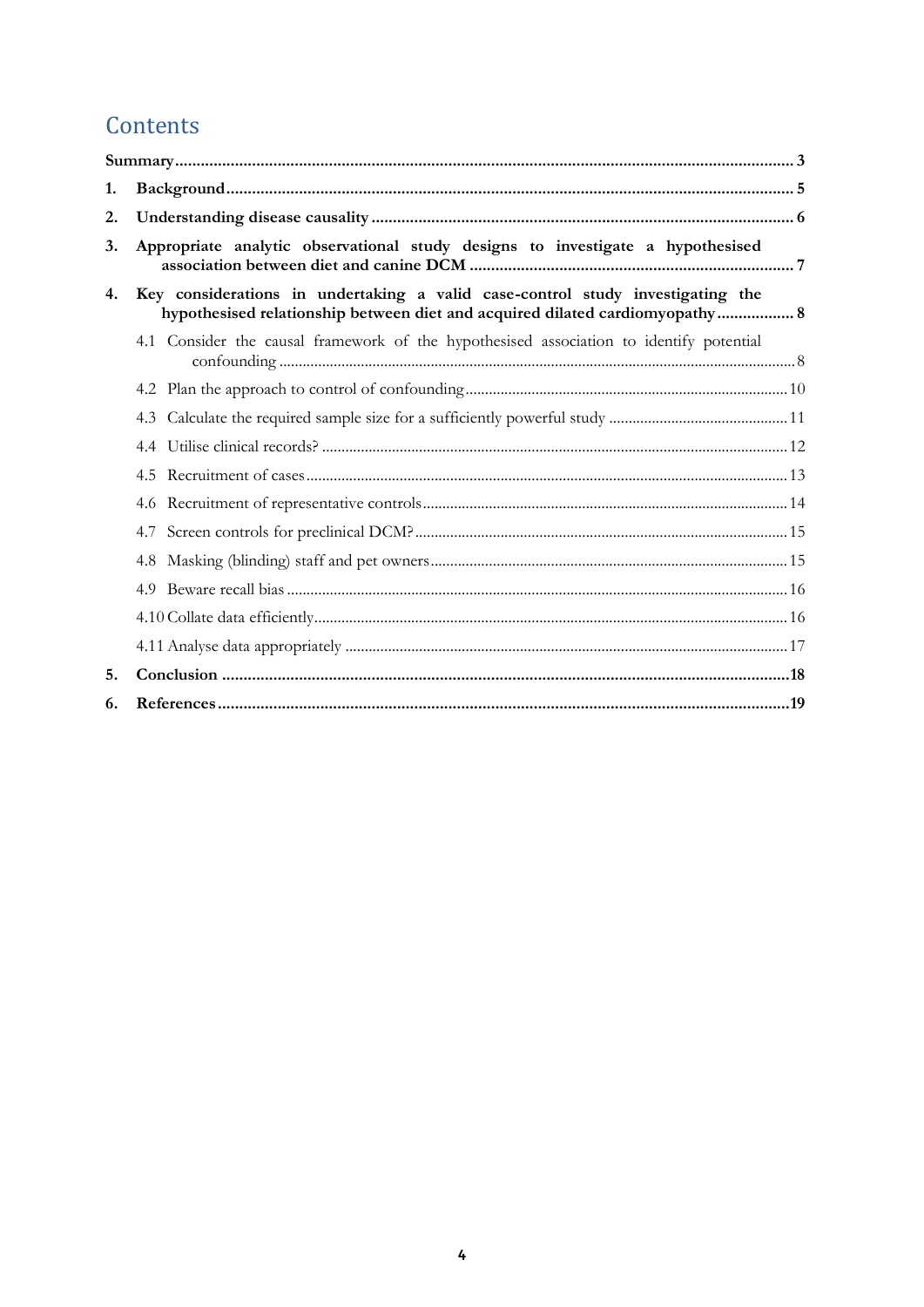# Contents

| 1. |                                                                                                                                                                 |  |
|----|-----------------------------------------------------------------------------------------------------------------------------------------------------------------|--|
| 2. |                                                                                                                                                                 |  |
| 3. | Appropriate analytic observational study designs to investigate a hypothesised                                                                                  |  |
| 4. | Key considerations in undertaking a valid case-control study investigating the<br>hypothesised relationship between diet and acquired dilated cardiomyopathy  8 |  |
|    | 4.1 Consider the causal framework of the hypothesised association to identify potential                                                                         |  |
|    |                                                                                                                                                                 |  |
|    |                                                                                                                                                                 |  |
|    |                                                                                                                                                                 |  |
|    | 4.5                                                                                                                                                             |  |
|    |                                                                                                                                                                 |  |
|    |                                                                                                                                                                 |  |
|    |                                                                                                                                                                 |  |
|    |                                                                                                                                                                 |  |
|    |                                                                                                                                                                 |  |
|    |                                                                                                                                                                 |  |
| 5. |                                                                                                                                                                 |  |
| 6. |                                                                                                                                                                 |  |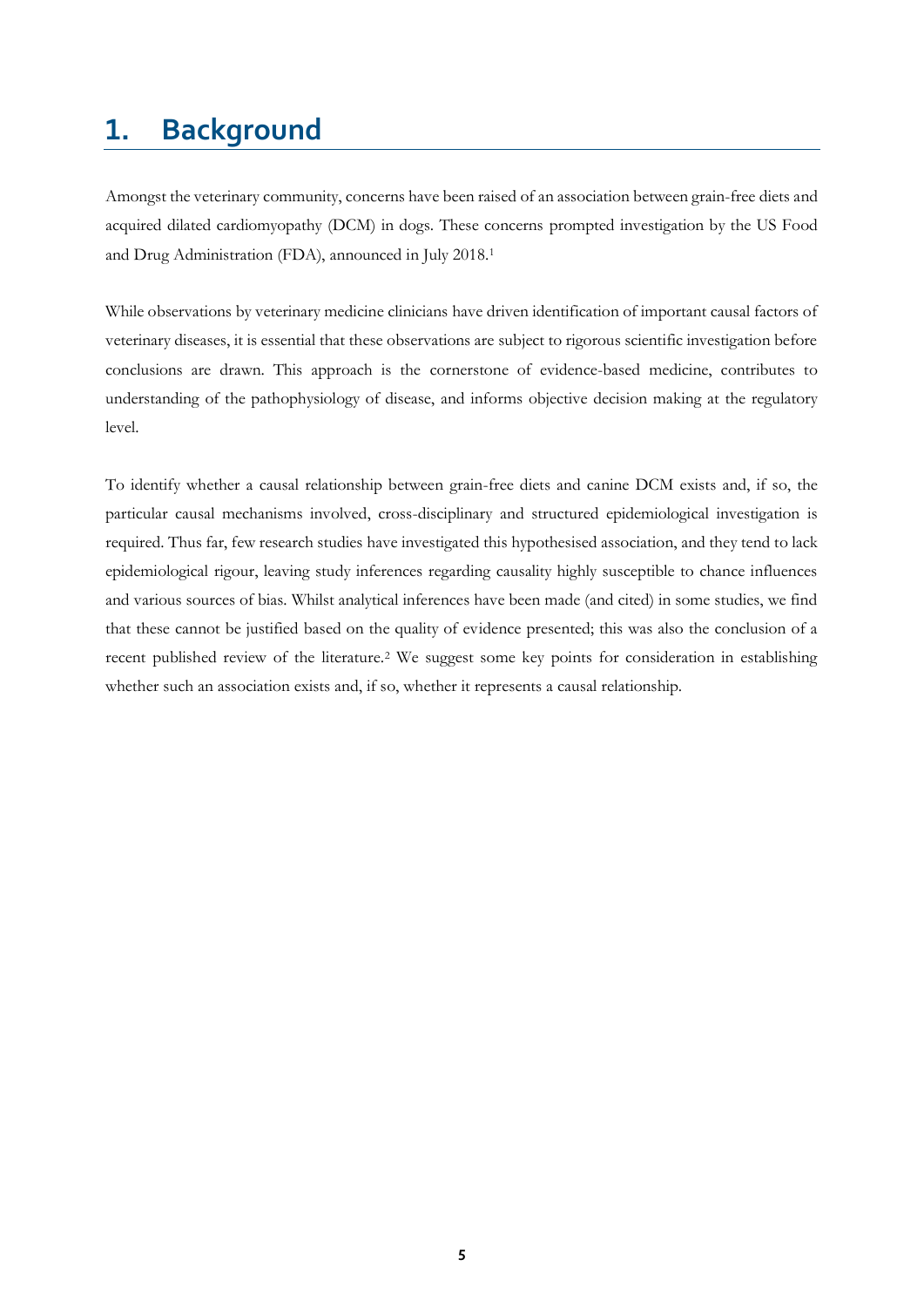# <span id="page-4-0"></span>**1. Background**

Amongst the veterinary community, concerns have been raised of an association between grain-free diets and acquired dilated cardiomyopathy (DCM) in dogs. These concerns prompted investigation by the US Food and Drug Administration (FDA), announced in July 2018.<sup>1</sup>

While observations by veterinary medicine clinicians have driven identification of important causal factors of veterinary diseases, it is essential that these observations are subject to rigorous scientific investigation before conclusions are drawn. This approach is the cornerstone of evidence-based medicine, contributes to understanding of the pathophysiology of disease, and informs objective decision making at the regulatory level.

To identify whether a causal relationship between grain-free diets and canine DCM exists and, if so, the particular causal mechanisms involved, cross-disciplinary and structured epidemiological investigation is required. Thus far, few research studies have investigated this hypothesised association, and they tend to lack epidemiological rigour, leaving study inferences regarding causality highly susceptible to chance influences and various sources of bias. Whilst analytical inferences have been made (and cited) in some studies, we find that these cannot be justified based on the quality of evidence presented; this was also the conclusion of a recent published review of the literature.<sup>2</sup> We suggest some key points for consideration in establishing whether such an association exists and, if so, whether it represents a causal relationship.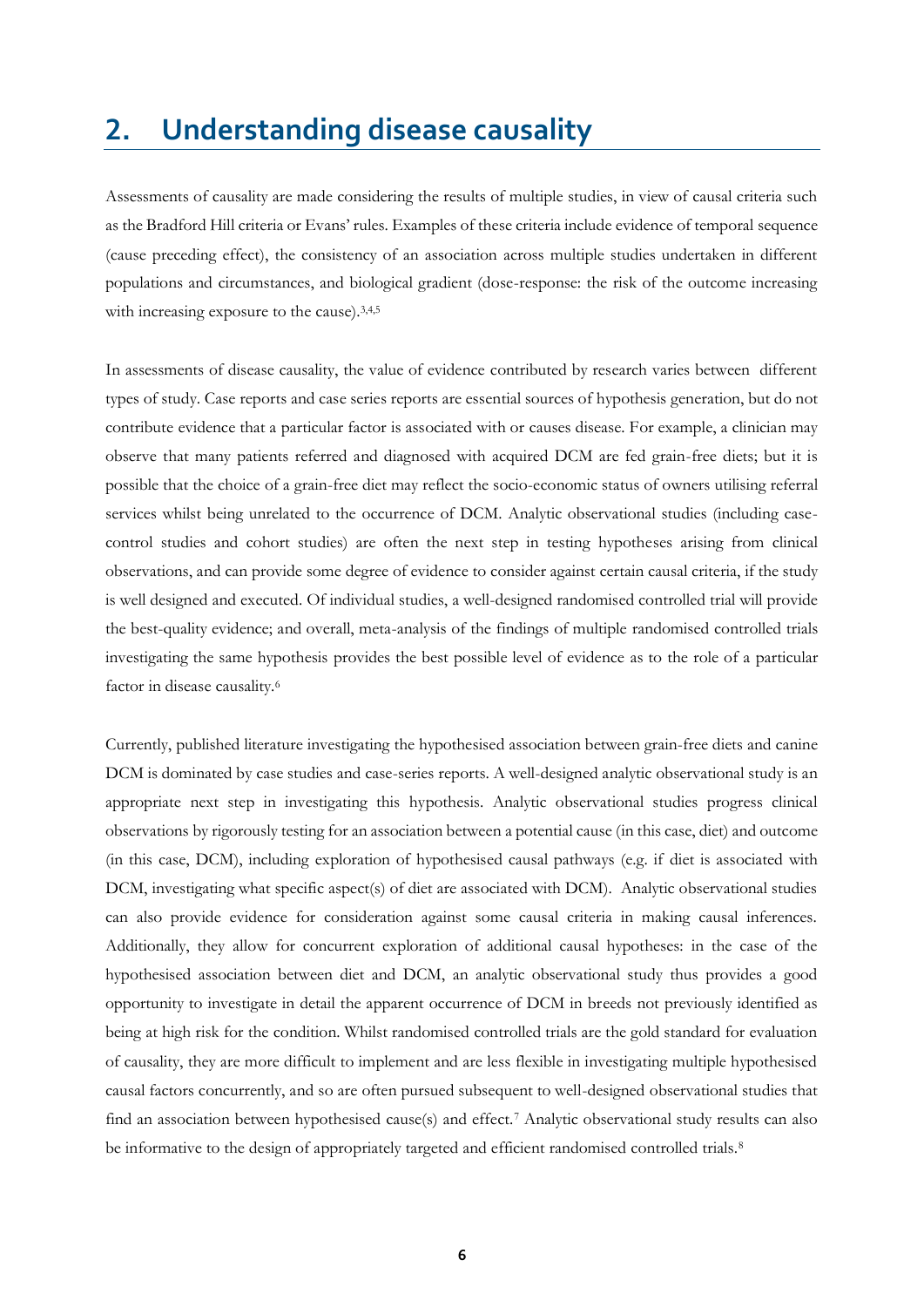# <span id="page-5-0"></span>**2. Understanding disease causality**

Assessments of causality are made considering the results of multiple studies, in view of causal criteria such as the Bradford Hill criteria or Evans' rules. Examples of these criteria include evidence of temporal sequence (cause preceding effect), the consistency of an association across multiple studies undertaken in different populations and circumstances, and biological gradient (dose-response: the risk of the outcome increasing with increasing exposure to the cause).<sup>3,4,5</sup>

In assessments of disease causality, the value of evidence contributed by research varies between different types of study. Case reports and case series reports are essential sources of hypothesis generation, but do not contribute evidence that a particular factor is associated with or causes disease. For example, a clinician may observe that many patients referred and diagnosed with acquired DCM are fed grain-free diets; but it is possible that the choice of a grain-free diet may reflect the socio-economic status of owners utilising referral services whilst being unrelated to the occurrence of DCM. Analytic observational studies (including casecontrol studies and cohort studies) are often the next step in testing hypotheses arising from clinical observations, and can provide some degree of evidence to consider against certain causal criteria, if the study is well designed and executed. Of individual studies, a well-designed randomised controlled trial will provide the best-quality evidence; and overall, meta-analysis of the findings of multiple randomised controlled trials investigating the same hypothesis provides the best possible level of evidence as to the role of a particular factor in disease causality.<sup>6</sup>

Currently, published literature investigating the hypothesised association between grain-free diets and canine DCM is dominated by case studies and case-series reports. A well-designed analytic observational study is an appropriate next step in investigating this hypothesis. Analytic observational studies progress clinical observations by rigorously testing for an association between a potential cause (in this case, diet) and outcome (in this case, DCM), including exploration of hypothesised causal pathways (e.g. if diet is associated with DCM, investigating what specific aspect(s) of diet are associated with DCM). Analytic observational studies can also provide evidence for consideration against some causal criteria in making causal inferences. Additionally, they allow for concurrent exploration of additional causal hypotheses: in the case of the hypothesised association between diet and DCM, an analytic observational study thus provides a good opportunity to investigate in detail the apparent occurrence of DCM in breeds not previously identified as being at high risk for the condition. Whilst randomised controlled trials are the gold standard for evaluation of causality, they are more difficult to implement and are less flexible in investigating multiple hypothesised causal factors concurrently, and so are often pursued subsequent to well-designed observational studies that find an association between hypothesised cause(s) and effect.<sup>7</sup> Analytic observational study results can also be informative to the design of appropriately targeted and efficient randomised controlled trials.<sup>8</sup>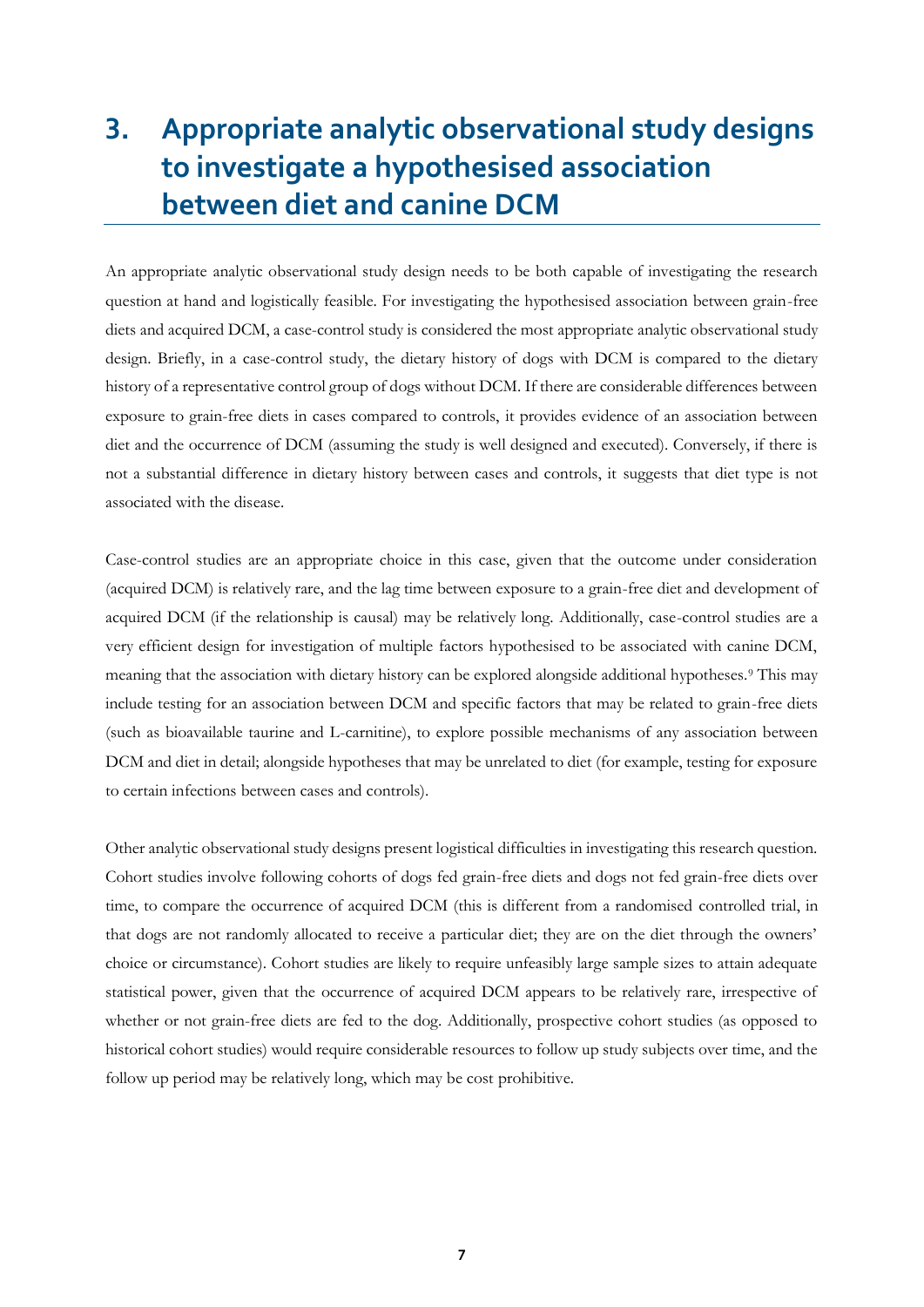# <span id="page-6-0"></span>**3. Appropriate analytic observational study designs to investigate a hypothesised association between diet and canine DCM**

An appropriate analytic observational study design needs to be both capable of investigating the research question at hand and logistically feasible. For investigating the hypothesised association between grain-free diets and acquired DCM, a case-control study is considered the most appropriate analytic observational study design. Briefly, in a case-control study, the dietary history of dogs with DCM is compared to the dietary history of a representative control group of dogs without DCM. If there are considerable differences between exposure to grain-free diets in cases compared to controls, it provides evidence of an association between diet and the occurrence of DCM (assuming the study is well designed and executed). Conversely, if there is not a substantial difference in dietary history between cases and controls, it suggests that diet type is not associated with the disease.

Case-control studies are an appropriate choice in this case, given that the outcome under consideration (acquired DCM) is relatively rare, and the lag time between exposure to a grain-free diet and development of acquired DCM (if the relationship is causal) may be relatively long. Additionally, case-control studies are a very efficient design for investigation of multiple factors hypothesised to be associated with canine DCM, meaning that the association with dietary history can be explored alongside additional hypotheses.<sup>9</sup> This may include testing for an association between DCM and specific factors that may be related to grain-free diets (such as bioavailable taurine and L-carnitine), to explore possible mechanisms of any association between DCM and diet in detail; alongside hypotheses that may be unrelated to diet (for example, testing for exposure to certain infections between cases and controls).

Other analytic observational study designs present logistical difficulties in investigating this research question. Cohort studies involve following cohorts of dogs fed grain-free diets and dogs not fed grain-free diets over time, to compare the occurrence of acquired DCM (this is different from a randomised controlled trial, in that dogs are not randomly allocated to receive a particular diet; they are on the diet through the owners' choice or circumstance). Cohort studies are likely to require unfeasibly large sample sizes to attain adequate statistical power, given that the occurrence of acquired DCM appears to be relatively rare, irrespective of whether or not grain-free diets are fed to the dog. Additionally, prospective cohort studies (as opposed to historical cohort studies) would require considerable resources to follow up study subjects over time, and the follow up period may be relatively long, which may be cost prohibitive.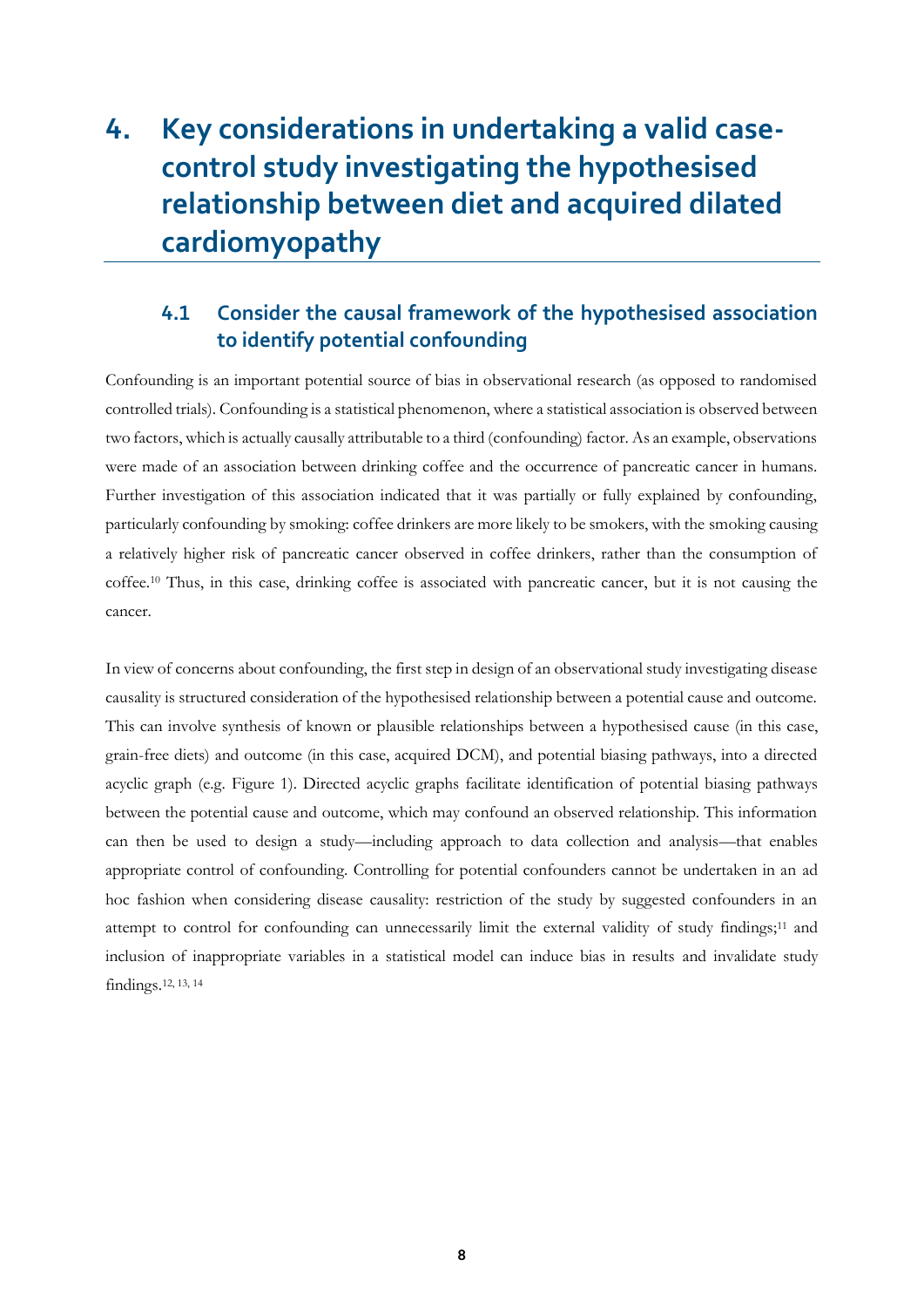# <span id="page-7-0"></span>**4. Key considerations in undertaking a valid casecontrol study investigating the hypothesised relationship between diet and acquired dilated cardiomyopathy**

# <span id="page-7-1"></span>**4.1 Consider the causal framework of the hypothesised association to identify potential confounding**

Confounding is an important potential source of bias in observational research (as opposed to randomised controlled trials). Confounding is a statistical phenomenon, where a statistical association is observed between two factors, which is actually causally attributable to a third (confounding) factor. As an example, observations were made of an association between drinking coffee and the occurrence of pancreatic cancer in humans. Further investigation of this association indicated that it was partially or fully explained by confounding, particularly confounding by smoking: coffee drinkers are more likely to be smokers, with the smoking causing a relatively higher risk of pancreatic cancer observed in coffee drinkers, rather than the consumption of coffee.<sup>10</sup> Thus, in this case, drinking coffee is associated with pancreatic cancer, but it is not causing the cancer.

In view of concerns about confounding, the first step in design of an observational study investigating disease causality is structured consideration of the hypothesised relationship between a potential cause and outcome. This can involve synthesis of known or plausible relationships between a hypothesised cause (in this case, grain-free diets) and outcome (in this case, acquired DCM), and potential biasing pathways, into a directed acyclic graph (e.g. Figure 1). Directed acyclic graphs facilitate identification of potential biasing pathways between the potential cause and outcome, which may confound an observed relationship. This information can then be used to design a study—including approach to data collection and analysis—that enables appropriate control of confounding. Controlling for potential confounders cannot be undertaken in an ad hoc fashion when considering disease causality: restriction of the study by suggested confounders in an attempt to control for confounding can unnecessarily limit the external validity of study findings;<sup>11</sup> and inclusion of inappropriate variables in a statistical model can induce bias in results and invalidate study findings.12, 13, 14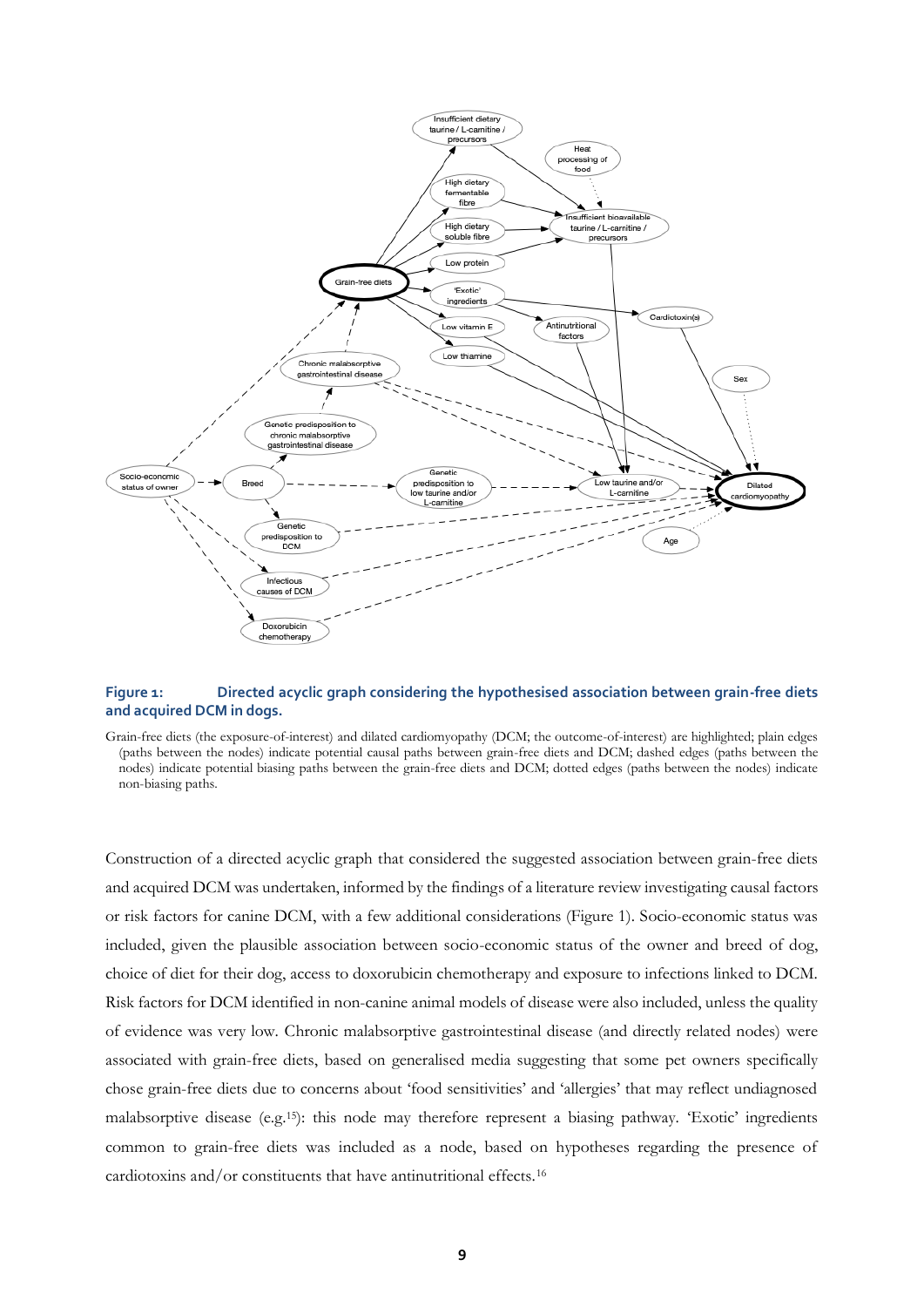

#### **Figure 1: Directed acyclic graph considering the hypothesised association between grain-free diets and acquired DCM in dogs.**

Grain-free diets (the exposure-of-interest) and dilated cardiomyopathy (DCM; the outcome-of-interest) are highlighted; plain edges (paths between the nodes) indicate potential causal paths between grain-free diets and DCM; dashed edges (paths between the nodes) indicate potential biasing paths between the grain-free diets and DCM; dotted edges (paths between the nodes) indicate non-biasing paths.

Construction of a directed acyclic graph that considered the suggested association between grain-free diets and acquired DCM was undertaken, informed by the findings of a literature review investigating causal factors or risk factors for canine DCM, with a few additional considerations (Figure 1). Socio-economic status was included, given the plausible association between socio-economic status of the owner and breed of dog, choice of diet for their dog, access to doxorubicin chemotherapy and exposure to infections linked to DCM. Risk factors for DCM identified in non-canine animal models of disease were also included, unless the quality of evidence was very low. Chronic malabsorptive gastrointestinal disease (and directly related nodes) were associated with grain-free diets, based on generalised media suggesting that some pet owners specifically chose grain-free diets due to concerns about 'food sensitivities' and 'allergies' that may reflect undiagnosed malabsorptive disease (e.g.15): this node may therefore represent a biasing pathway. 'Exotic' ingredients common to grain-free diets was included as a node, based on hypotheses regarding the presence of cardiotoxins and/or constituents that have antinutritional effects.16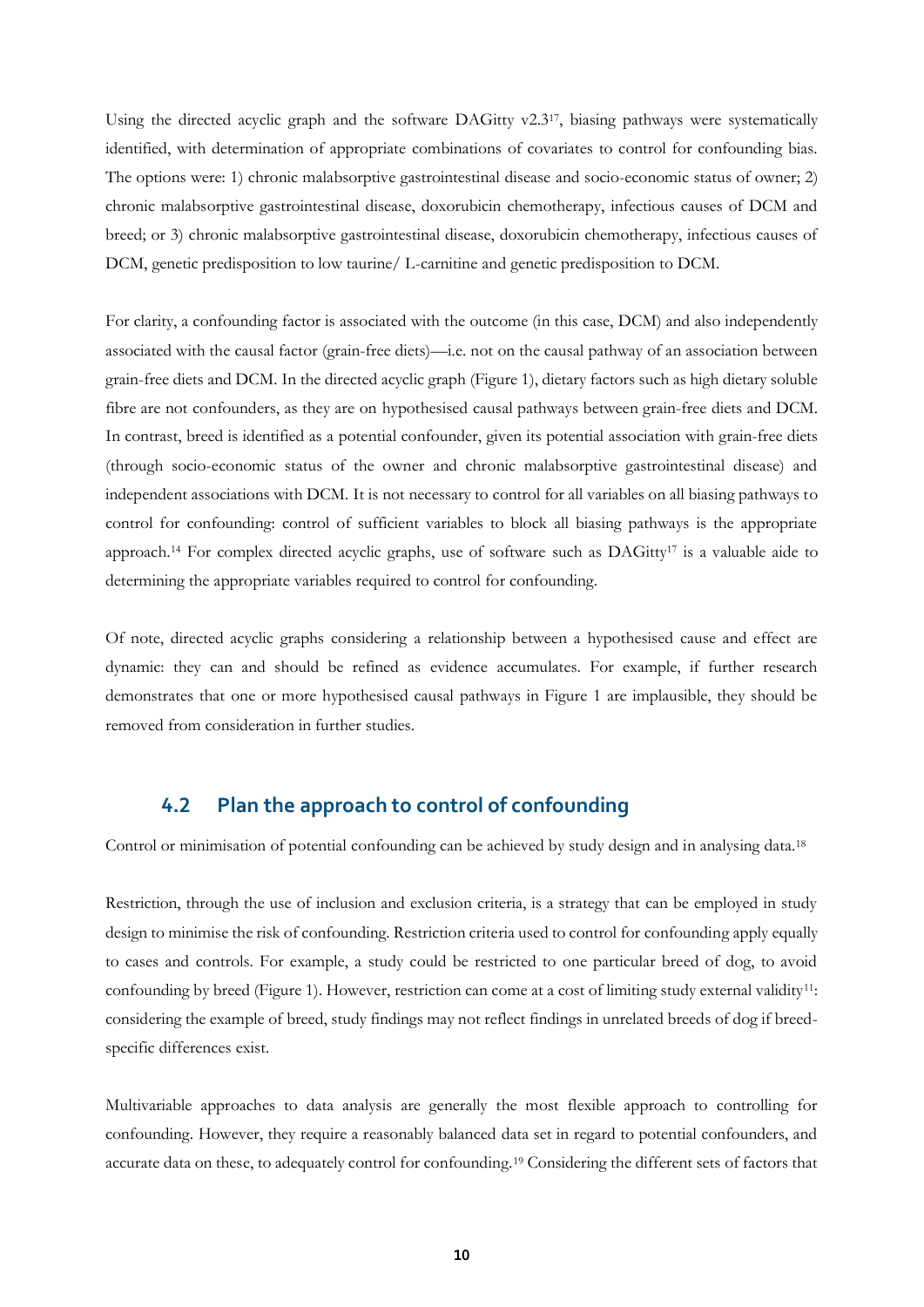Using the directed acyclic graph and the software DAGitty v2.3<sup>17</sup>, biasing pathways were systematically identified, with determination of appropriate combinations of covariates to control for confounding bias. The options were: 1) chronic malabsorptive gastrointestinal disease and socio-economic status of owner; 2) chronic malabsorptive gastrointestinal disease, doxorubicin chemotherapy, infectious causes of DCM and breed; or 3) chronic malabsorptive gastrointestinal disease, doxorubicin chemotherapy, infectious causes of DCM, genetic predisposition to low taurine/ L-carnitine and genetic predisposition to DCM.

For clarity, a confounding factor is associated with the outcome (in this case, DCM) and also independently associated with the causal factor (grain-free diets)—i.e. not on the causal pathway of an association between grain-free diets and DCM. In the directed acyclic graph (Figure 1), dietary factors such as high dietary soluble fibre are not confounders, as they are on hypothesised causal pathways between grain-free diets and DCM. In contrast, breed is identified as a potential confounder, given its potential association with grain-free diets (through socio-economic status of the owner and chronic malabsorptive gastrointestinal disease) and independent associations with DCM. It is not necessary to control for all variables on all biasing pathways to control for confounding: control of sufficient variables to block all biasing pathways is the appropriate approach.<sup>14</sup> For complex directed acyclic graphs, use of software such as DAGitty<sup>17</sup> is a valuable aide to determining the appropriate variables required to control for confounding.

Of note, directed acyclic graphs considering a relationship between a hypothesised cause and effect are dynamic: they can and should be refined as evidence accumulates. For example, if further research demonstrates that one or more hypothesised causal pathways in Figure 1 are implausible, they should be removed from consideration in further studies.

### <span id="page-9-0"></span>**4.2 Plan the approach to control of confounding**

Control or minimisation of potential confounding can be achieved by study design and in analysing data.<sup>18</sup>

Restriction, through the use of inclusion and exclusion criteria, is a strategy that can be employed in study design to minimise the risk of confounding. Restriction criteria used to control for confounding apply equally to cases and controls. For example, a study could be restricted to one particular breed of dog, to avoid confounding by breed (Figure 1). However, restriction can come at a cost of limiting study external validity<sup>11</sup>: considering the example of breed, study findings may not reflect findings in unrelated breeds of dog if breedspecific differences exist.

Multivariable approaches to data analysis are generally the most flexible approach to controlling for confounding. However, they require a reasonably balanced data set in regard to potential confounders, and accurate data on these, to adequately control for confounding.<sup>19</sup> Considering the different sets of factors that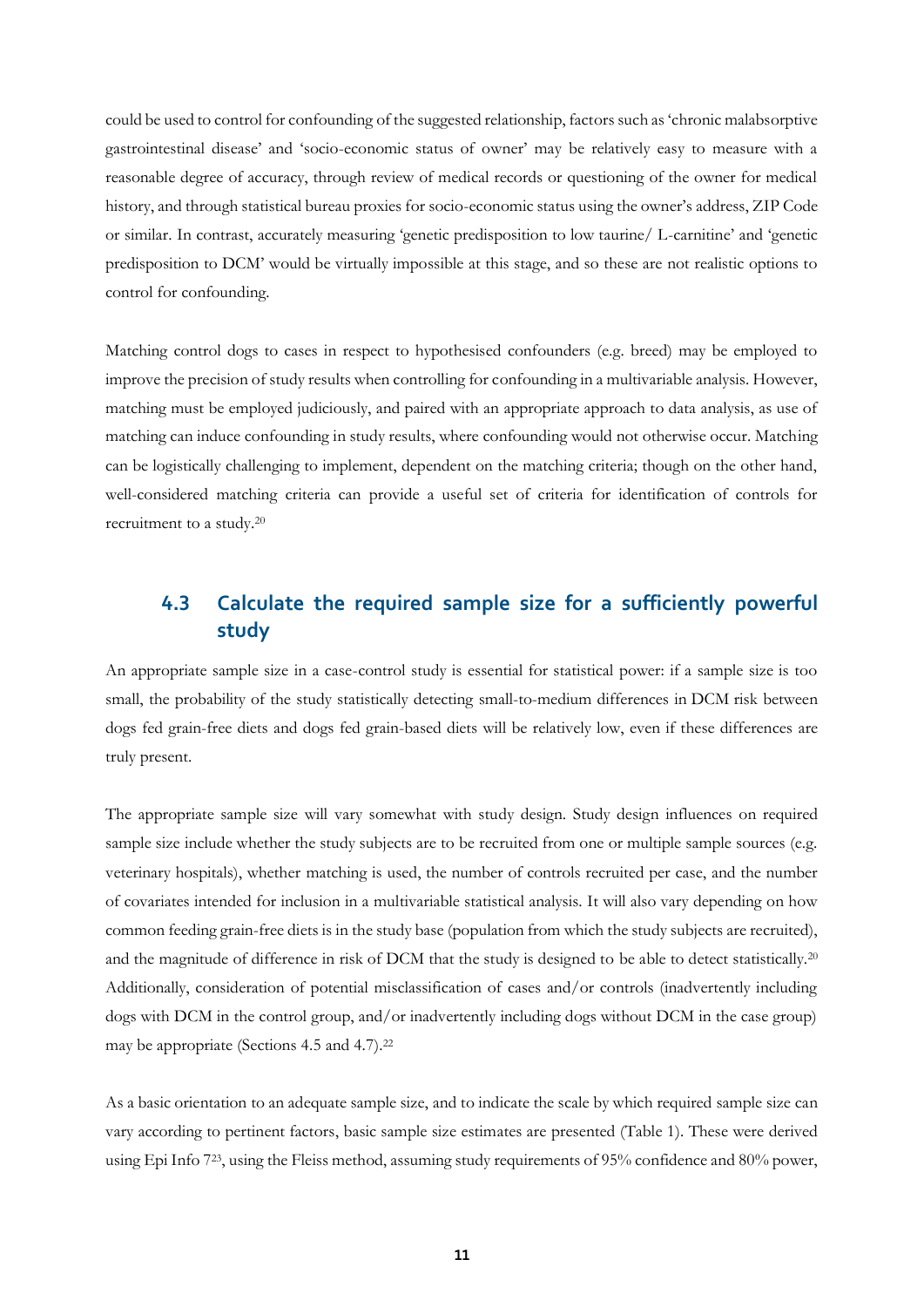could be used to control for confounding of the suggested relationship, factors such as 'chronic malabsorptive gastrointestinal disease' and 'socio-economic status of owner' may be relatively easy to measure with a reasonable degree of accuracy, through review of medical records or questioning of the owner for medical history, and through statistical bureau proxies for socio-economic status using the owner's address, ZIP Code or similar. In contrast, accurately measuring 'genetic predisposition to low taurine/ L-carnitine' and 'genetic predisposition to DCM' would be virtually impossible at this stage, and so these are not realistic options to control for confounding.

Matching control dogs to cases in respect to hypothesised confounders (e.g. breed) may be employed to improve the precision of study results when controlling for confounding in a multivariable analysis. However, matching must be employed judiciously, and paired with an appropriate approach to data analysis, as use of matching can induce confounding in study results, where confounding would not otherwise occur. Matching can be logistically challenging to implement, dependent on the matching criteria; though on the other hand, well-considered matching criteria can provide a useful set of criteria for identification of controls for recruitment to a study.<sup>20</sup>

## <span id="page-10-0"></span>**4.3 Calculate the required sample size for a sufficiently powerful study**

An appropriate sample size in a case-control study is essential for statistical power: if a sample size is too small, the probability of the study statistically detecting small-to-medium differences in DCM risk between dogs fed grain-free diets and dogs fed grain-based diets will be relatively low, even if these differences are truly present.

The appropriate sample size will vary somewhat with study design. Study design influences on required sample size include whether the study subjects are to be recruited from one or multiple sample sources (e.g. veterinary hospitals), whether matching is used, the number of controls recruited per case, and the number of covariates intended for inclusion in a multivariable statistical analysis. It will also vary depending on how common feeding grain-free diets is in the study base (population from which the study subjects are recruited), and the magnitude of difference in risk of DCM that the study is designed to be able to detect statistically.<sup>20</sup> Additionally, consideration of potential misclassification of cases and/or controls (inadvertently including dogs with DCM in the control group, and/or inadvertently including dogs without DCM in the case group) may be appropriate (Sections [4.5](#page-12-0) and [4.7\)](#page-14-0).<sup>22</sup>

As a basic orientation to an adequate sample size, and to indicate the scale by which required sample size can vary according to pertinent factors, basic sample size estimates are presented [\(Table 1\)](#page-11-1). These were derived using Epi Info 723, using the Fleiss method, assuming study requirements of 95% confidence and 80% power,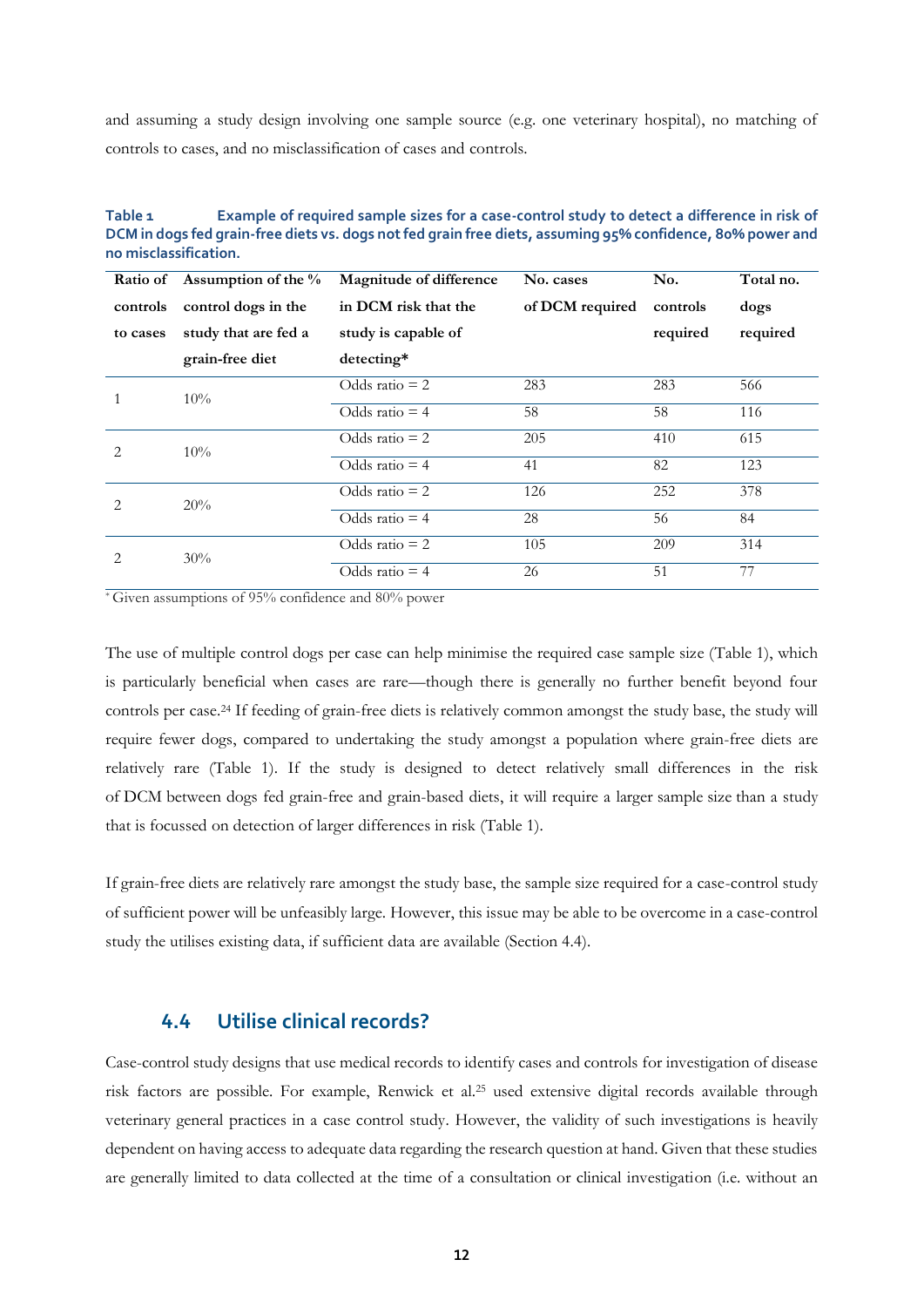and assuming a study design involving one sample source (e.g. one veterinary hospital), no matching of controls to cases, and no misclassification of cases and controls.

<span id="page-11-1"></span>

| Table 1               | Example of required sample sizes for a case-control study to detect a difference in risk of                |
|-----------------------|------------------------------------------------------------------------------------------------------------|
|                       | DCM in dogs fed grain-free diets vs. dogs not fed grain free diets, assuming 95% confidence, 80% power and |
| no misclassification. |                                                                                                            |

| Ratio of                      | Assumption of the $\%$ | Magnitude of difference | No. cases       | No.      | Total no. |
|-------------------------------|------------------------|-------------------------|-----------------|----------|-----------|
| controls                      | control dogs in the    | in DCM risk that the    | of DCM required | controls | dogs      |
| to cases                      | study that are fed a   | study is capable of     |                 | required | required  |
|                               | grain-free diet        | detecting*              |                 |          |           |
|                               | $10\%$                 | Odds ratio $= 2$        | 283             | 283      | 566       |
|                               |                        | Odds ratio $=$ 4        | 58              | 58       | 116       |
| 2                             | 10%                    | Odds ratio $= 2$        | 205             | 410      | 615       |
|                               |                        | Odds ratio $=$ 4        | 41              | 82       | 123       |
| $\mathfrak{D}_{\mathfrak{p}}$ | 20%                    | Odds ratio $= 2$        | 126             | 252      | 378       |
|                               |                        | Odds ratio $=$ 4        | 28              | 56       | 84        |
| 2                             | 30%                    | Odds ratio $= 2$        | 105             | 209      | 314       |
|                               |                        | Odds ratio $=$ 4        | 26              | 51       | 77        |

\* Given assumptions of 95% confidence and 80% power

The use of multiple control dogs per case can help minimise the required case sample size [\(Table 1\)](#page-11-1), which is particularly beneficial when cases are rare—though there is generally no further benefit beyond four controls per case. <sup>24</sup> If feeding of grain-free diets is relatively common amongst the study base, the study will require fewer dogs, compared to undertaking the study amongst a population where grain-free diets are relatively rare [\(Table 1\)](#page-11-1). If the study is designed to detect relatively small differences in the risk of DCM between dogs fed grain-free and grain-based diets, it will require a larger sample size than a study that is focussed on detection of larger differences in risk [\(Table 1\)](#page-11-1).

If grain-free diets are relatively rare amongst the study base, the sample size required for a case-control study of sufficient power will be unfeasibly large. However, this issue may be able to be overcome in a case-control study the utilises existing data, if sufficient data are available (Section [4.4\)](#page-11-0).

### <span id="page-11-0"></span>**4.4 Utilise clinical records?**

Case-control study designs that use medical records to identify cases and controls for investigation of disease risk factors are possible. For example, Renwick et al.<sup>25</sup> used extensive digital records available through veterinary general practices in a case control study. However, the validity of such investigations is heavily dependent on having access to adequate data regarding the research question at hand. Given that these studies are generally limited to data collected at the time of a consultation or clinical investigation (i.e. without an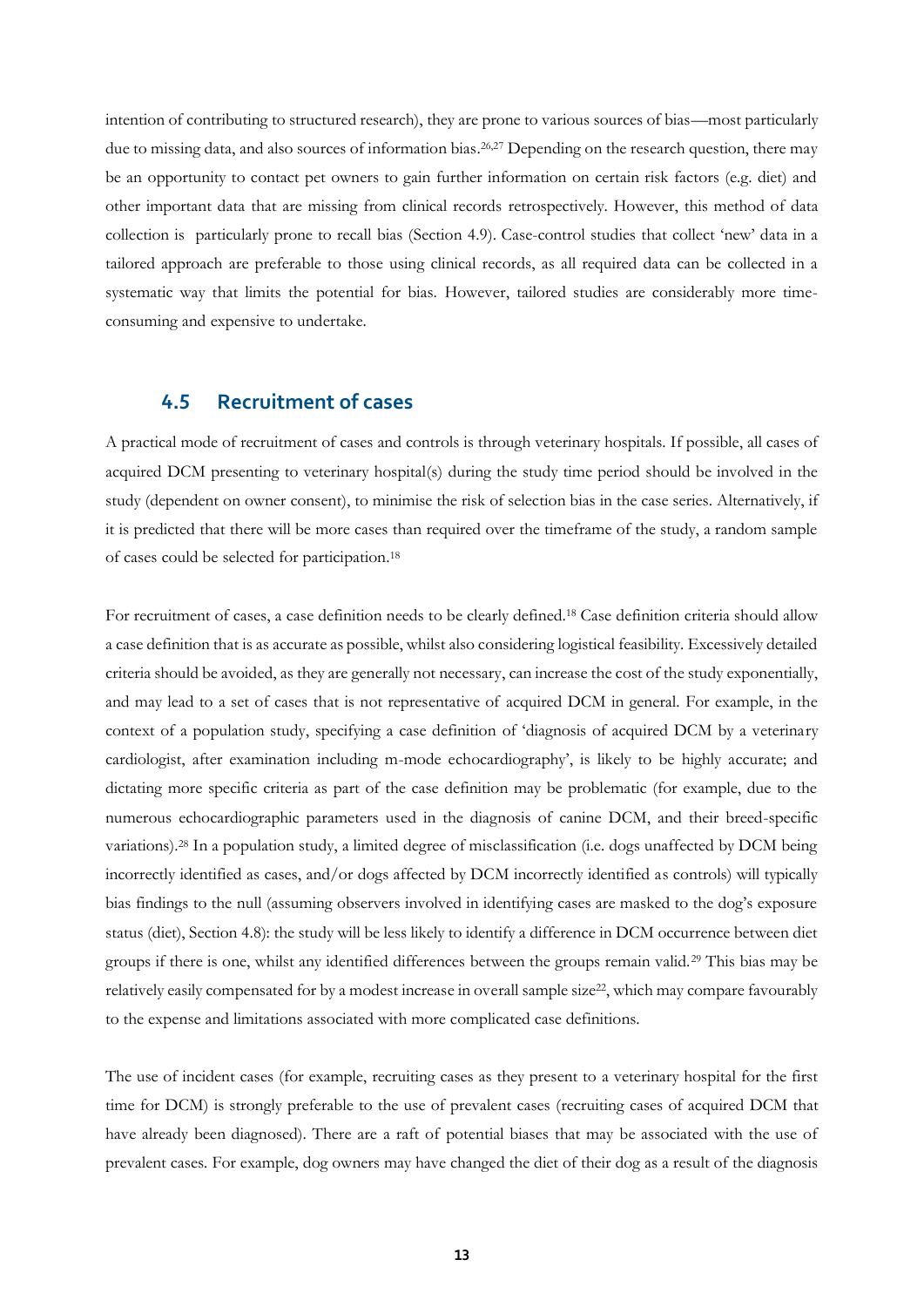intention of contributing to structured research), they are prone to various sources of bias—most particularly due to missing data, and also sources of information bias. 26,27 Depending on the research question, there may be an opportunity to contact pet owners to gain further information on certain risk factors (e.g. diet) and other important data that are missing from clinical records retrospectively. However, this method of data collection is particularly prone to recall bias (Section [4.9\)](#page-15-0). Case-control studies that collect 'new' data in a tailored approach are preferable to those using clinical records, as all required data can be collected in a systematic way that limits the potential for bias. However, tailored studies are considerably more timeconsuming and expensive to undertake.

### <span id="page-12-0"></span>**4.5 Recruitment of cases**

A practical mode of recruitment of cases and controls is through veterinary hospitals. If possible, all cases of acquired DCM presenting to veterinary hospital(s) during the study time period should be involved in the study (dependent on owner consent), to minimise the risk of selection bias in the case series. Alternatively, if it is predicted that there will be more cases than required over the timeframe of the study, a random sample of cases could be selected for participation. 18

For recruitment of cases, a case definition needs to be clearly defined.<sup>18</sup> Case definition criteria should allow a case definition that is as accurate as possible, whilst also considering logistical feasibility. Excessively detailed criteria should be avoided, as they are generally not necessary, can increase the cost of the study exponentially, and may lead to a set of cases that is not representative of acquired DCM in general. For example, in the context of a population study, specifying a case definition of 'diagnosis of acquired DCM by a veterinary cardiologist, after examination including m-mode echocardiography', is likely to be highly accurate; and dictating more specific criteria as part of the case definition may be problematic (for example, due to the numerous echocardiographic parameters used in the diagnosis of canine DCM, and their breed-specific variations).<sup>28</sup> In a population study, a limited degree of misclassification (i.e. dogs unaffected by DCM being incorrectly identified as cases, and/or dogs affected by DCM incorrectly identified as controls) will typically bias findings to the null (assuming observers involved in identifying cases are masked to the dog's exposure status (diet), Sectio[n 4.8\)](#page-14-1): the study will be less likely to identify a difference in DCM occurrence between diet groups if there is one, whilst any identified differences between the groups remain valid.<sup>29</sup> This bias may be relatively easily compensated for by a modest increase in overall sample size<sup>22</sup>, which may compare favourably to the expense and limitations associated with more complicated case definitions.

The use of incident cases (for example, recruiting cases as they present to a veterinary hospital for the first time for DCM) is strongly preferable to the use of prevalent cases (recruiting cases of acquired DCM that have already been diagnosed). There are a raft of potential biases that may be associated with the use of prevalent cases. For example, dog owners may have changed the diet of their dog as a result of the diagnosis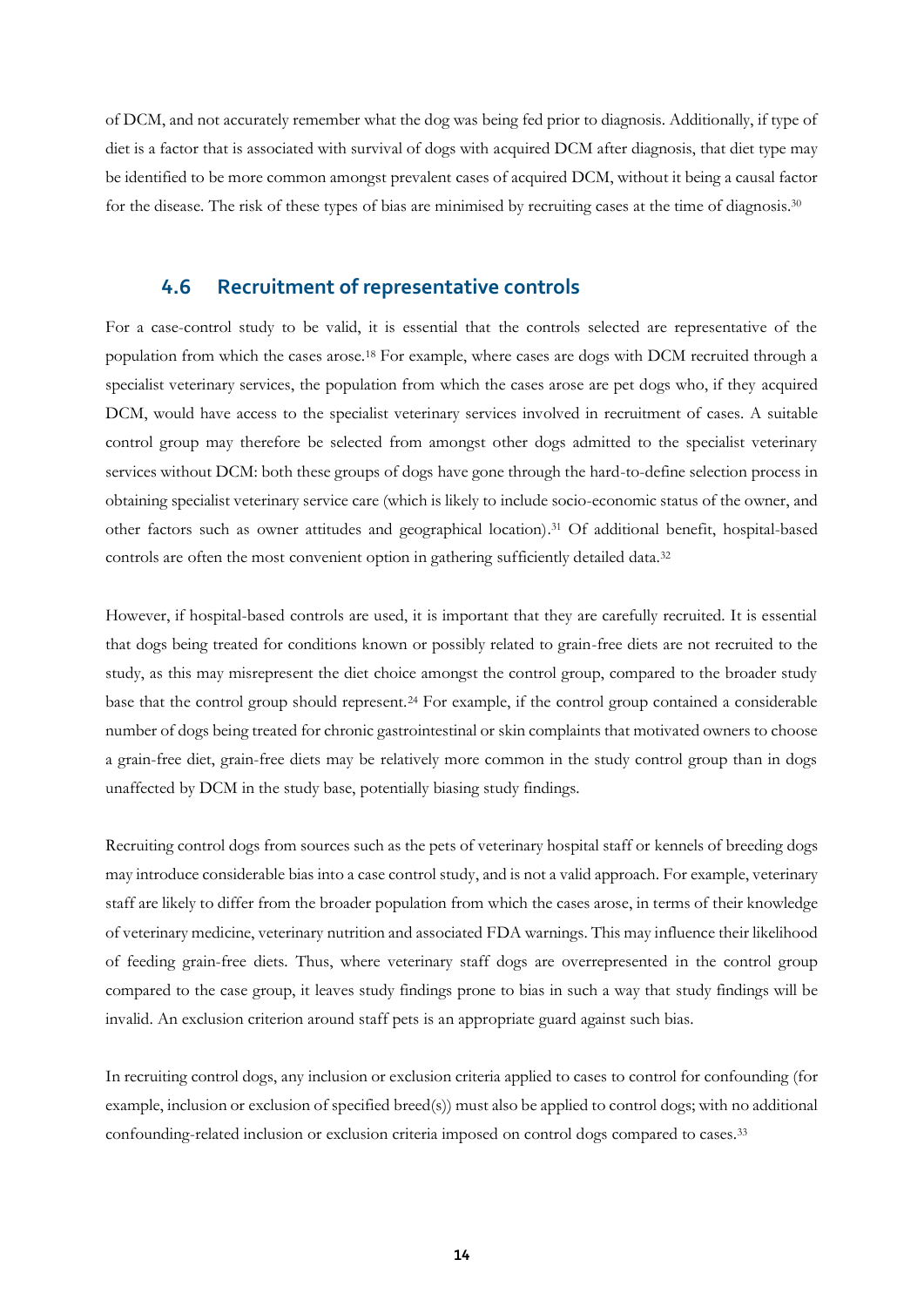of DCM, and not accurately remember what the dog was being fed prior to diagnosis. Additionally, if type of diet is a factor that is associated with survival of dogs with acquired DCM after diagnosis, that diet type may be identified to be more common amongst prevalent cases of acquired DCM, without it being a causal factor for the disease. The risk of these types of bias are minimised by recruiting cases at the time of diagnosis.<sup>30</sup>

### <span id="page-13-0"></span>**4.6 Recruitment of representative controls**

For a case-control study to be valid, it is essential that the controls selected are representative of the population from which the cases arose.<sup>18</sup> For example, where cases are dogs with DCM recruited through a specialist veterinary services, the population from which the cases arose are pet dogs who, if they acquired DCM, would have access to the specialist veterinary services involved in recruitment of cases. A suitable control group may therefore be selected from amongst other dogs admitted to the specialist veterinary services without DCM: both these groups of dogs have gone through the hard-to-define selection process in obtaining specialist veterinary service care (which is likely to include socio-economic status of the owner, and other factors such as owner attitudes and geographical location). <sup>31</sup> Of additional benefit, hospital-based controls are often the most convenient option in gathering sufficiently detailed data.<sup>32</sup>

However, if hospital-based controls are used, it is important that they are carefully recruited. It is essential that dogs being treated for conditions known or possibly related to grain-free diets are not recruited to the study, as this may misrepresent the diet choice amongst the control group, compared to the broader study base that the control group should represent.<sup>24</sup> For example, if the control group contained a considerable number of dogs being treated for chronic gastrointestinal or skin complaints that motivated owners to choose a grain-free diet, grain-free diets may be relatively more common in the study control group than in dogs unaffected by DCM in the study base, potentially biasing study findings.

Recruiting control dogs from sources such as the pets of veterinary hospital staff or kennels of breeding dogs may introduce considerable bias into a case control study, and is not a valid approach. For example, veterinary staff are likely to differ from the broader population from which the cases arose, in terms of their knowledge of veterinary medicine, veterinary nutrition and associated FDA warnings. This may influence their likelihood of feeding grain-free diets. Thus, where veterinary staff dogs are overrepresented in the control group compared to the case group, it leaves study findings prone to bias in such a way that study findings will be invalid. An exclusion criterion around staff pets is an appropriate guard against such bias.

In recruiting control dogs, any inclusion or exclusion criteria applied to cases to control for confounding (for example, inclusion or exclusion of specified breed(s)) must also be applied to control dogs; with no additional confounding-related inclusion or exclusion criteria imposed on control dogs compared to cases.33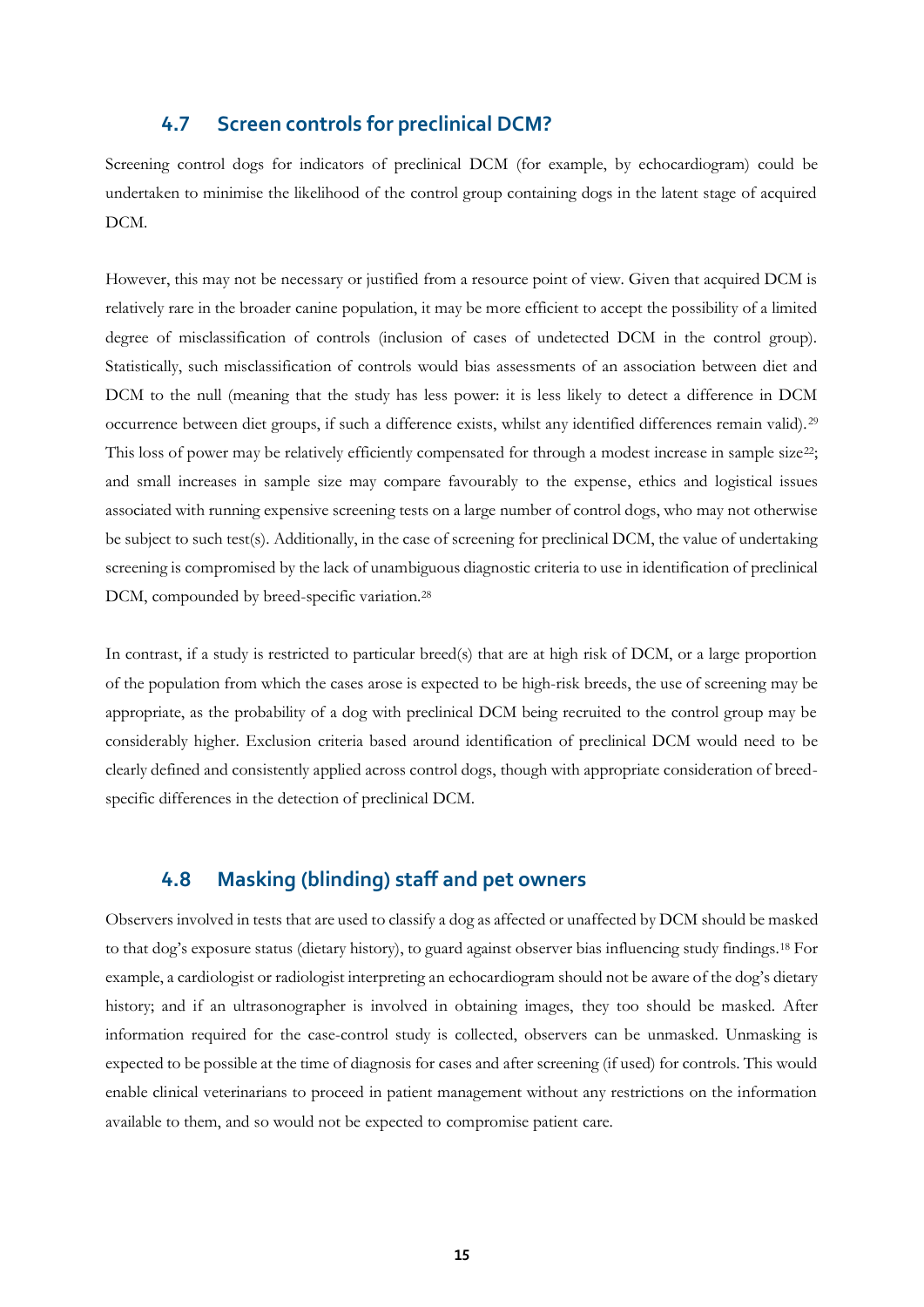### **4.7 Screen controls for preclinical DCM?**

<span id="page-14-0"></span>Screening control dogs for indicators of preclinical DCM (for example, by echocardiogram) could be undertaken to minimise the likelihood of the control group containing dogs in the latent stage of acquired DCM.

However, this may not be necessary or justified from a resource point of view. Given that acquired DCM is relatively rare in the broader canine population, it may be more efficient to accept the possibility of a limited degree of misclassification of controls (inclusion of cases of undetected DCM in the control group). Statistically, such misclassification of controls would bias assessments of an association between diet and DCM to the null (meaning that the study has less power: it is less likely to detect a difference in DCM occurrence between diet groups, if such a difference exists, whilst any identified differences remain valid).<sup>29</sup> This loss of power may be relatively efficiently compensated for through a modest increase in sample size<sup>22</sup>; and small increases in sample size may compare favourably to the expense, ethics and logistical issues associated with running expensive screening tests on a large number of control dogs, who may not otherwise be subject to such test(s). Additionally, in the case of screening for preclinical DCM, the value of undertaking screening is compromised by the lack of unambiguous diagnostic criteria to use in identification of preclinical DCM, compounded by breed-specific variation.<sup>28</sup>

In contrast, if a study is restricted to particular breed(s) that are at high risk of DCM, or a large proportion of the population from which the cases arose is expected to be high-risk breeds, the use of screening may be appropriate, as the probability of a dog with preclinical DCM being recruited to the control group may be considerably higher. Exclusion criteria based around identification of preclinical DCM would need to be clearly defined and consistently applied across control dogs, though with appropriate consideration of breedspecific differences in the detection of preclinical DCM.

### <span id="page-14-1"></span>**4.8 Masking (blinding) staff and pet owners**

Observers involved in tests that are used to classify a dog as affected or unaffected by DCM should be masked to that dog's exposure status (dietary history), to guard against observer bias influencing study findings.<sup>18</sup> For example, a cardiologist or radiologist interpreting an echocardiogram should not be aware of the dog's dietary history; and if an ultrasonographer is involved in obtaining images, they too should be masked. After information required for the case-control study is collected, observers can be unmasked. Unmasking is expected to be possible at the time of diagnosis for cases and after screening (if used) for controls. This would enable clinical veterinarians to proceed in patient management without any restrictions on the information available to them, and so would not be expected to compromise patient care.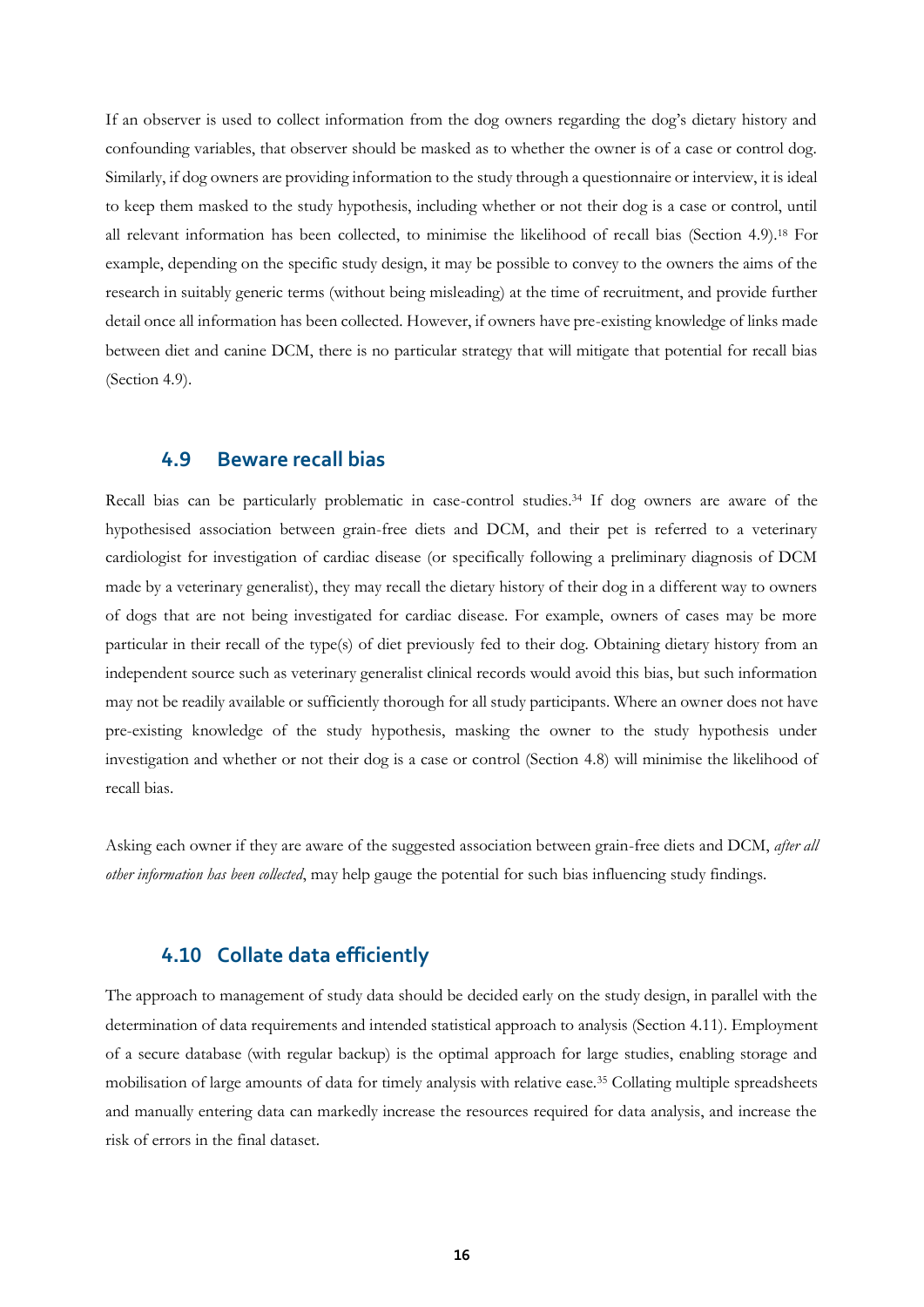If an observer is used to collect information from the dog owners regarding the dog's dietary history and confounding variables, that observer should be masked as to whether the owner is of a case or control dog. Similarly, if dog owners are providing information to the study through a questionnaire or interview, it is ideal to keep them masked to the study hypothesis, including whether or not their dog is a case or control, until all relevant information has been collected, to minimise the likelihood of recall bias (Section [4.9\)](#page-15-0).<sup>18</sup> For example, depending on the specific study design, it may be possible to convey to the owners the aims of the research in suitably generic terms (without being misleading) at the time of recruitment, and provide further detail once all information has been collected. However, if owners have pre-existing knowledge of links made between diet and canine DCM, there is no particular strategy that will mitigate that potential for recall bias (Section [4.9\)](#page-15-0).

#### <span id="page-15-0"></span>**4.9 Beware recall bias**

Recall bias can be particularly problematic in case-control studies. <sup>34</sup> If dog owners are aware of the hypothesised association between grain-free diets and DCM, and their pet is referred to a veterinary cardiologist for investigation of cardiac disease (or specifically following a preliminary diagnosis of DCM made by a veterinary generalist), they may recall the dietary history of their dog in a different way to owners of dogs that are not being investigated for cardiac disease. For example, owners of cases may be more particular in their recall of the type(s) of diet previously fed to their dog. Obtaining dietary history from an independent source such as veterinary generalist clinical records would avoid this bias, but such information may not be readily available or sufficiently thorough for all study participants. Where an owner does not have pre-existing knowledge of the study hypothesis, masking the owner to the study hypothesis under investigation and whether or not their dog is a case or control (Section [4.8\)](#page-14-1) will minimise the likelihood of recall bias.

Asking each owner if they are aware of the suggested association between grain-free diets and DCM, *after all other information has been collected*, may help gauge the potential for such bias influencing study findings.

### <span id="page-15-1"></span>**4.10 Collate data efficiently**

The approach to management of study data should be decided early on the study design, in parallel with the determination of data requirements and intended statistical approach to analysis (Section [4.11\)](#page-16-0). Employment of a secure database (with regular backup) is the optimal approach for large studies, enabling storage and mobilisation of large amounts of data for timely analysis with relative ease.<sup>35</sup> Collating multiple spreadsheets and manually entering data can markedly increase the resources required for data analysis, and increase the risk of errors in the final dataset.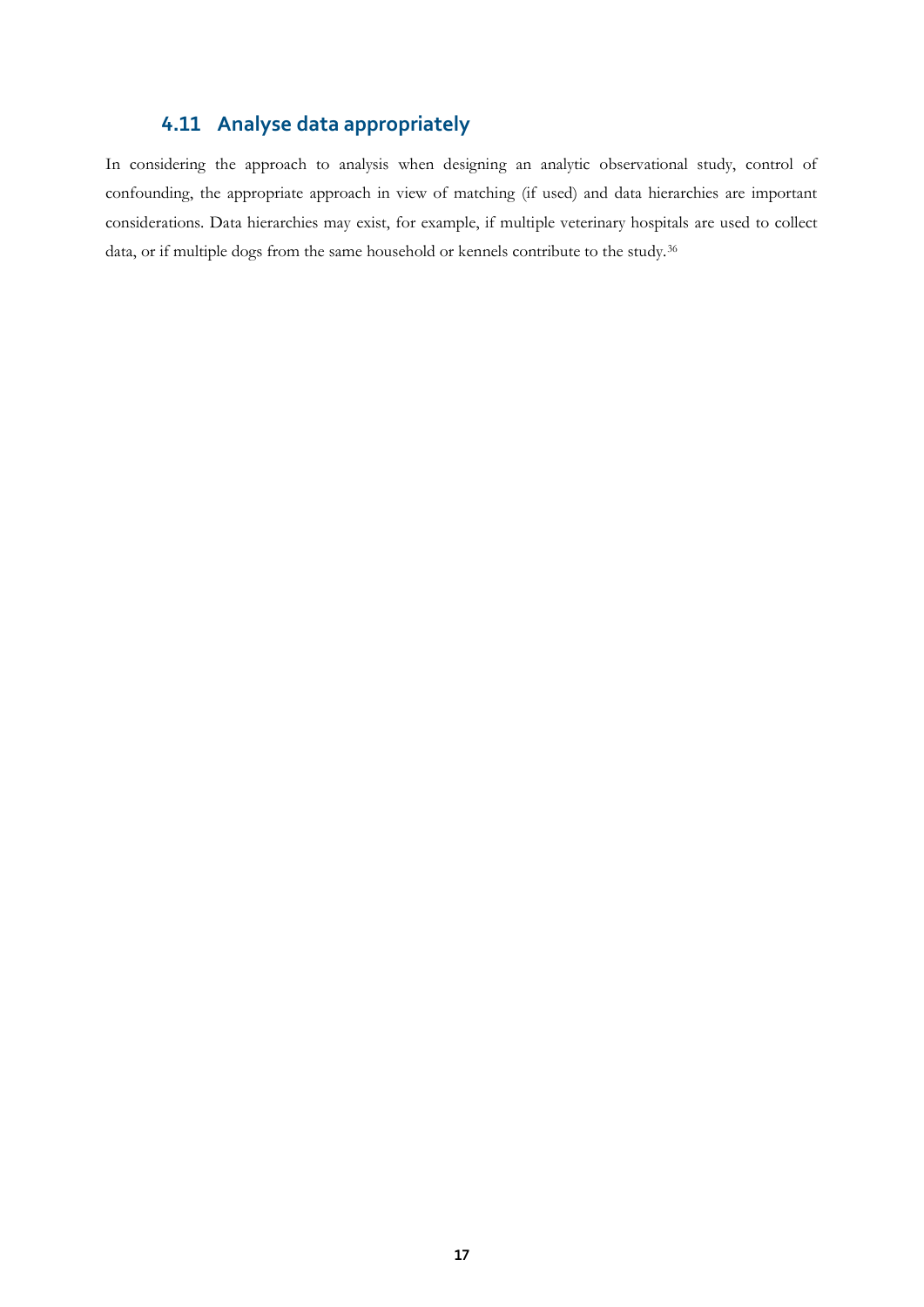# **4.11 Analyse data appropriately**

<span id="page-16-0"></span>In considering the approach to analysis when designing an analytic observational study, control of confounding, the appropriate approach in view of matching (if used) and data hierarchies are important considerations. Data hierarchies may exist, for example, if multiple veterinary hospitals are used to collect data, or if multiple dogs from the same household or kennels contribute to the study.36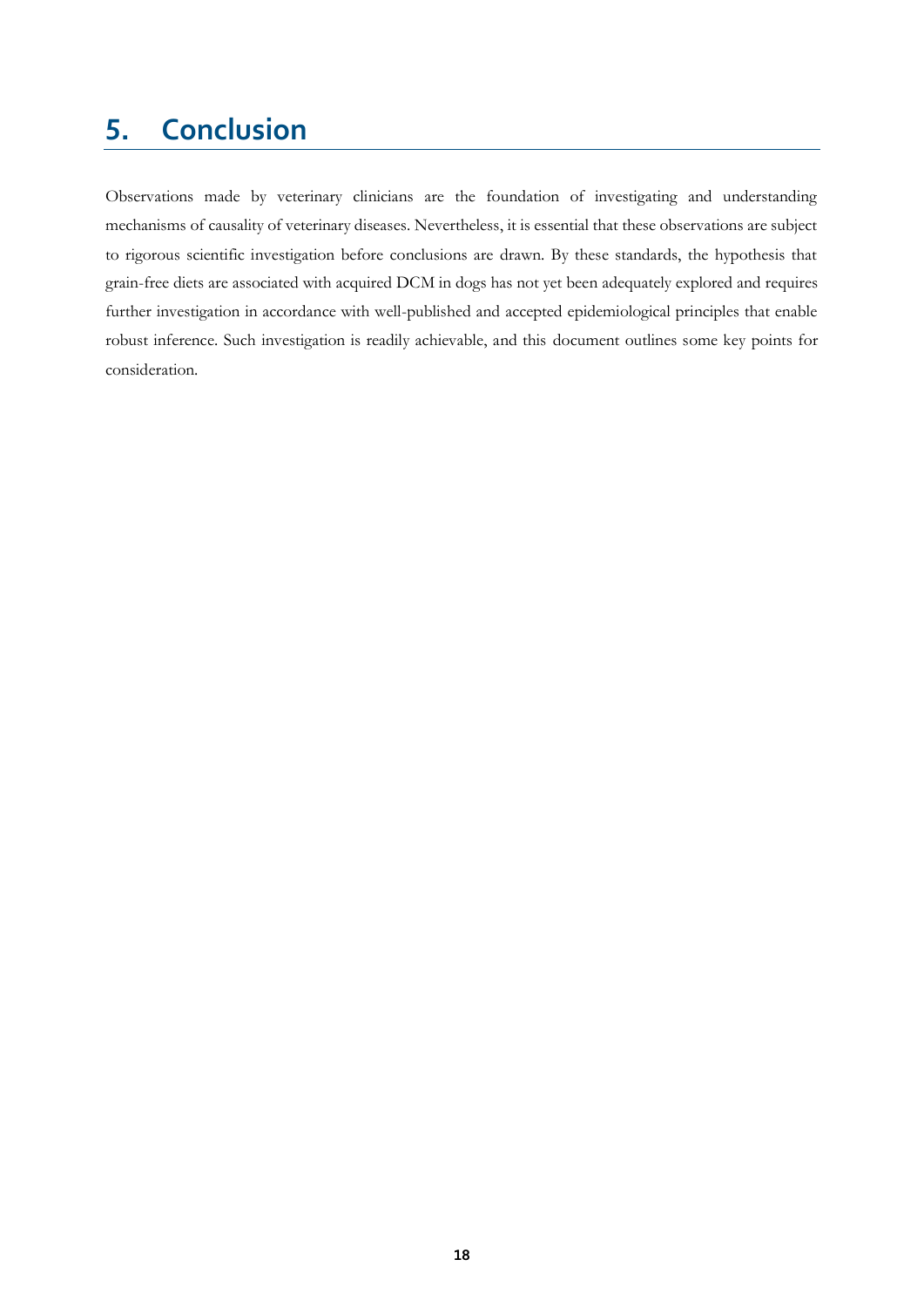# <span id="page-17-0"></span>**5. Conclusion**

Observations made by veterinary clinicians are the foundation of investigating and understanding mechanisms of causality of veterinary diseases. Nevertheless, it is essential that these observations are subject to rigorous scientific investigation before conclusions are drawn. By these standards, the hypothesis that grain-free diets are associated with acquired DCM in dogs has not yet been adequately explored and requires further investigation in accordance with well-published and accepted epidemiological principles that enable robust inference. Such investigation is readily achievable, and this document outlines some key points for consideration.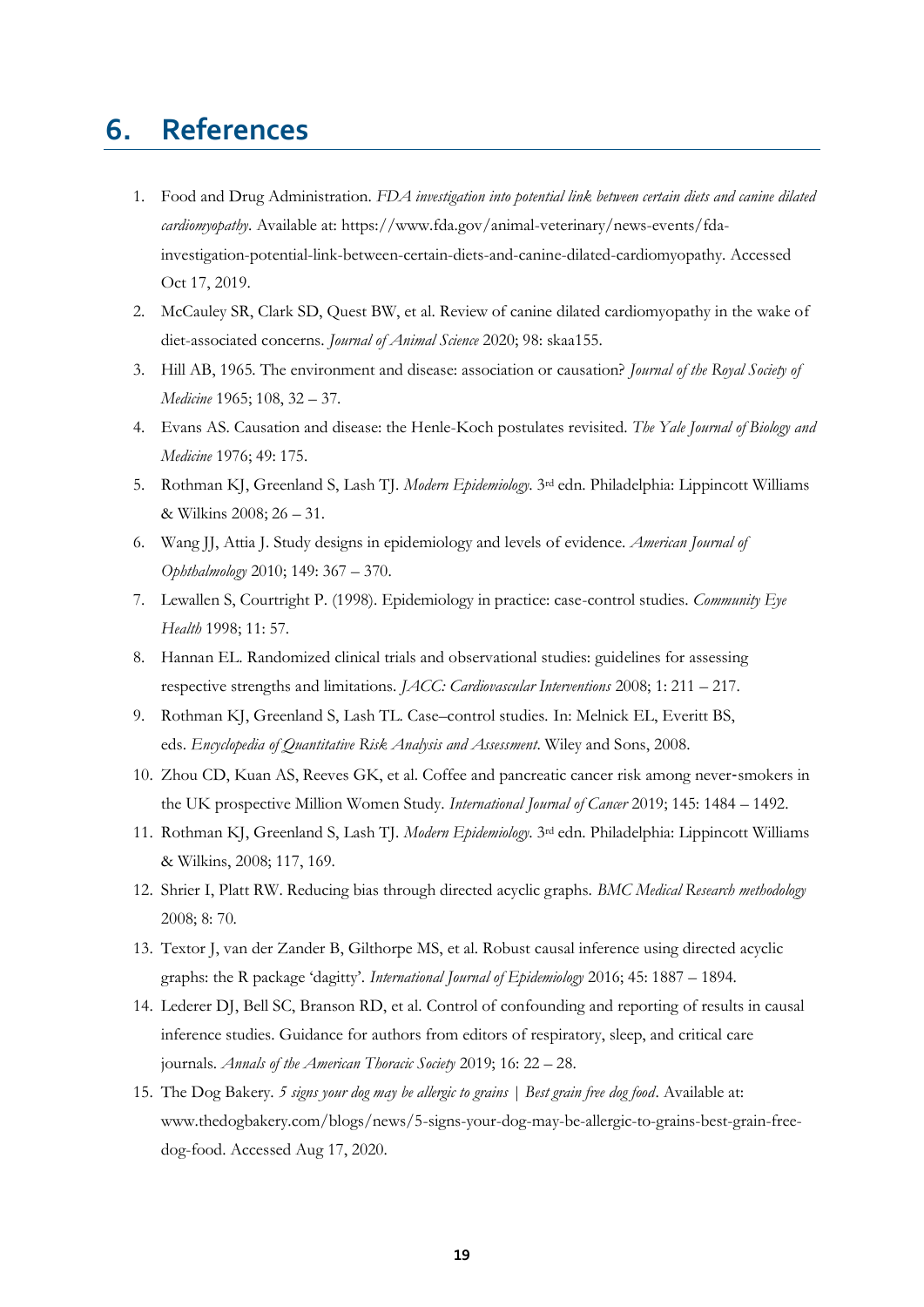# <span id="page-18-0"></span>**6. References**

- 1. Food and Drug Administration. *FDA investigation into potential link between certain diets and canine dilated cardiomyopathy*. Available at: https://www.fda.gov/animal-veterinary/news-events/fdainvestigation-potential-link-between-certain-diets-and-canine-dilated-cardiomyopathy. Accessed Oct 17, 2019.
- 2. McCauley SR, Clark SD, Quest BW, et al. Review of canine dilated cardiomyopathy in the wake of diet-associated concerns. *Journal of Animal Science* 2020; 98: skaa155.
- 3. Hill AB, 1965. The environment and disease: association or causation? *Journal of the Royal Society of Medicine* 1965; 108, 32 – 37.
- 4. Evans AS. Causation and disease: the Henle-Koch postulates revisited. *The Yale Journal of Biology and Medicine* 1976; 49: 175.
- 5. Rothman KJ, Greenland S, Lash TJ. *Modern Epidemiology*. 3rd edn. Philadelphia: Lippincott Williams & Wilkins 2008; 26 – 31.
- 6. Wang JJ, Attia J. Study designs in epidemiology and levels of evidence. *American Journal of Ophthalmology* 2010; 149: 367 – 370.
- 7. Lewallen S, Courtright P. (1998). Epidemiology in practice: case-control studies. *Community Eye Health* 1998; 11: 57.
- 8. Hannan EL. Randomized clinical trials and observational studies: guidelines for assessing respective strengths and limitations. *JACC: Cardiovascular Interventions* 2008; 1: 211 – 217.
- 9. Rothman KJ, Greenland S, Lash TL. Case–control studies*.* In: Melnick EL, Everitt BS, eds. *Encyclopedia of Quantitative Risk Analysis and Assessment*. Wiley and Sons, 2008.
- 10. Zhou CD, Kuan AS, Reeves GK, et al. Coffee and pancreatic cancer risk among never-smokers in the UK prospective Million Women Study. *International Journal of Cancer* 2019; 145: 1484 – 1492.
- 11. Rothman KJ, Greenland S, Lash TJ. *Modern Epidemiology*. 3rd edn. Philadelphia: Lippincott Williams & Wilkins, 2008; 117, 169.
- 12. Shrier I, Platt RW. Reducing bias through directed acyclic graphs. *BMC Medical Research methodology* 2008; 8: 70.
- 13. Textor J, van der Zander B, Gilthorpe MS, et al. Robust causal inference using directed acyclic graphs: the R package 'dagitty'. *International Journal of Epidemiology* 2016; 45: 1887 – 1894.
- 14. Lederer DJ, Bell SC, Branson RD, et al. Control of confounding and reporting of results in causal inference studies. Guidance for authors from editors of respiratory, sleep, and critical care journals. *Annals of the American Thoracic Society* 2019; 16: 22 – 28.
- 15. The Dog Bakery. *5 signs your dog may be allergic to grains | Best grain free dog food*. Available at: [www.thedogbakery.com/blogs/news/5-signs-your-dog-may-be-allergic-to-grains-best-grain-free](http://www.thedogbakery.com/blogs/news/5-signs-your-dog-may-be-allergic-to-grains-best-grain-free-dog-food)[dog-food.](http://www.thedogbakery.com/blogs/news/5-signs-your-dog-may-be-allergic-to-grains-best-grain-free-dog-food) Accessed Aug 17, 2020.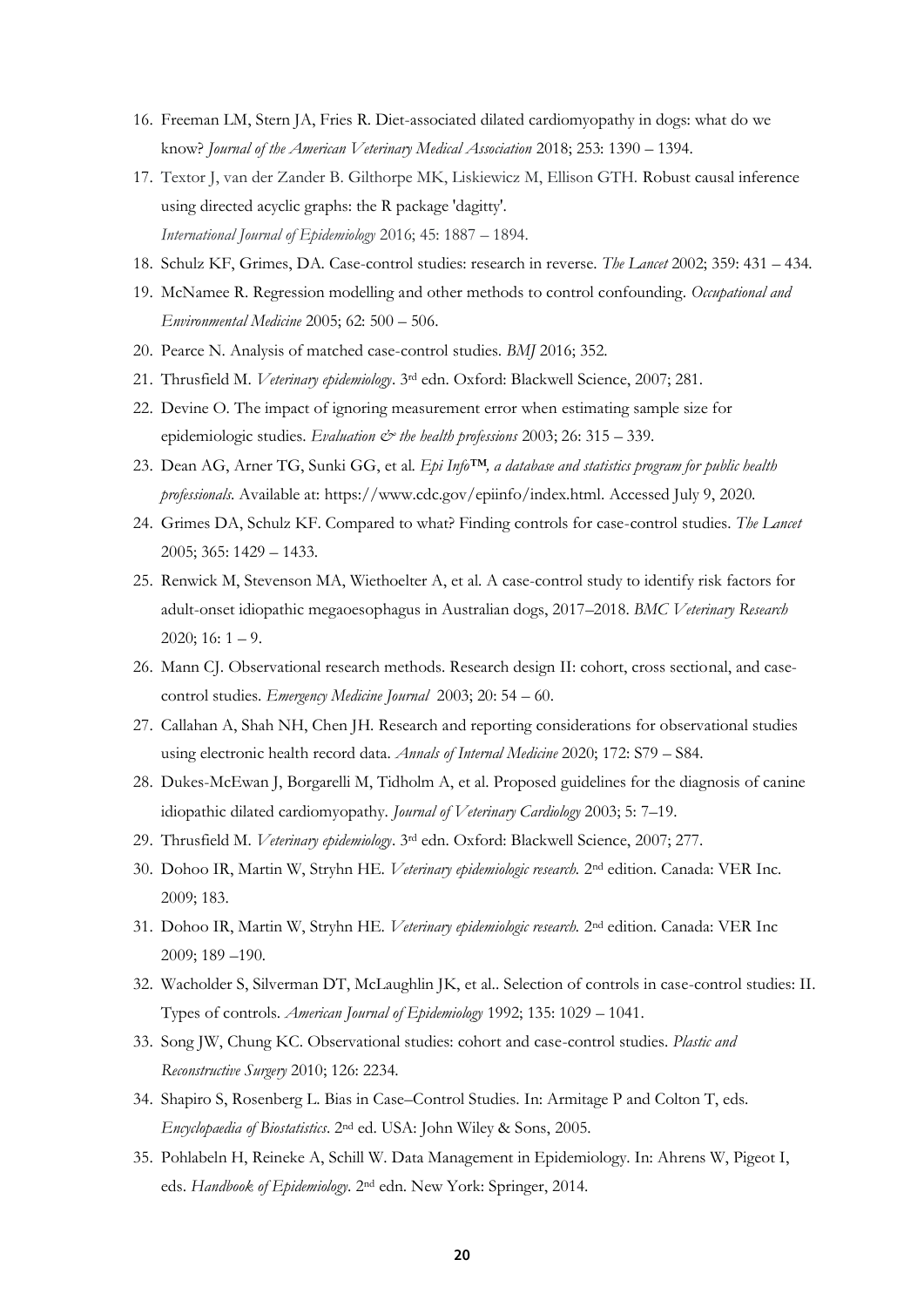- 16. Freeman LM, Stern JA, Fries R. Diet-associated dilated cardiomyopathy in dogs: what do we know? *Journal of the American Veterinary Medical Association* 2018; 253: 1390 – 1394.
- 17. Textor J, van der Zander B. Gilthorpe MK, Liskiewicz M, Ellison GTH. Robust causal inference using directed acyclic graphs: the R package 'dagitty'. *International Journal of Epidemiology* 2016; 45: 1887 – 1894.
- 18. Schulz KF, Grimes, DA. Case-control studies: research in reverse. *The Lancet* 2002; 359: 431 434.
- 19. McNamee R. Regression modelling and other methods to control confounding. *Occupational and Environmental Medicine* 2005; 62: 500 – 506.
- 20. Pearce N. Analysis of matched case-control studies. *BMJ* 2016; 352.
- 21. Thrusfield M. *Veterinary epidemiology*. 3rd edn. Oxford: Blackwell Science, 2007; 281.
- 22. Devine O. The impact of ignoring measurement error when estimating sample size for epidemiologic studies. *Evaluation*  $\mathcal{Q}$  *the health professions* 2003; 26: 315 – 339.
- 23. Dean AG, Arner TG, Sunki GG, et al. *Epi Info™, a database and statistics program for public health professionals*. Available at: https://www.cdc.gov/epiinfo/index.html. Accessed July 9, 2020.
- 24. Grimes DA, Schulz KF. Compared to what? Finding controls for case-control studies. *The Lancet* 2005; 365: 1429 – 1433.
- 25. Renwick M, Stevenson MA, Wiethoelter A, et al. A case-control study to identify risk factors for adult-onset idiopathic megaoesophagus in Australian dogs, 2017–2018. *BMC Veterinary Research*   $2020$ ; 16: 1 – 9.
- 26. Mann CJ. Observational research methods. Research design II: cohort, cross sectional, and casecontrol studies. *Emergency Medicine Journal* 2003; 20: 54 – 60.
- 27. Callahan A, Shah NH, Chen JH. Research and reporting considerations for observational studies using electronic health record data. *Annals of Internal Medicine* 2020; 172: S79 – S84.
- 28. Dukes-McEwan J, Borgarelli M, Tidholm A, et al. Proposed guidelines for the diagnosis of canine idiopathic dilated cardiomyopathy. *Journal of Veterinary Cardiology* 2003; 5: 7–19.
- 29. Thrusfield M. *Veterinary epidemiology*. 3rd edn. Oxford: Blackwell Science, 2007; 277.
- 30. Dohoo IR, Martin W, Stryhn HE. *Veterinary epidemiologic research.* 2nd edition. Canada: VER Inc*.*  2009; 183.
- 31. Dohoo IR, Martin W, Stryhn HE. *Veterinary epidemiologic research.* 2nd edition. Canada: VER Inc 2009; 189 –190*.*
- 32. Wacholder S, Silverman DT, McLaughlin JK, et al.. Selection of controls in case-control studies: II. Types of controls. *American Journal of Epidemiology* 1992; 135: 1029 – 1041.
- 33. Song JW, Chung KC. Observational studies: cohort and case-control studies. *Plastic and Reconstructive Surgery* 2010; 126: 2234.
- 34. Shapiro S, Rosenberg L. Bias in Case–Control Studies. In: Armitage P and Colton T, eds. *Encyclopaedia of Biostatistics*. 2nd ed. USA: John Wiley & Sons, 2005.
- 35. Pohlabeln H, Reineke A, Schill W. Data Management in Epidemiology. In: Ahrens W, Pigeot I, eds. *Handbook of Epidemiology*. 2nd edn. New York: Springer, 2014.